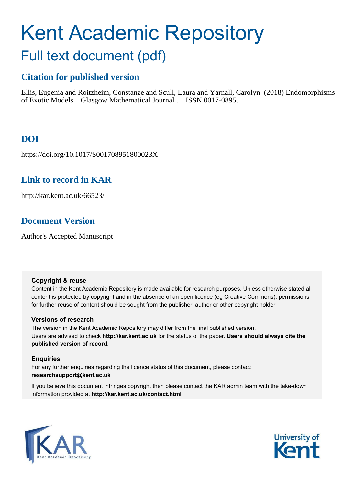# Kent Academic Repository Full text document (pdf)

# **Citation for published version**

Ellis, Eugenia and Roitzheim, Constanze and Scull, Laura and Yarnall, Carolyn (2018) Endomorphisms of Exotic Models. Glasgow Mathematical Journal . ISSN 0017-0895.

# **DOI**

https://doi.org/10.1017/S001708951800023X

# **Link to record in KAR**

http://kar.kent.ac.uk/66523/

# **Document Version**

Author's Accepted Manuscript

### **Copyright & reuse**

Content in the Kent Academic Repository is made available for research purposes. Unless otherwise stated all content is protected by copyright and in the absence of an open licence (eg Creative Commons), permissions for further reuse of content should be sought from the publisher, author or other copyright holder.

## **Versions of research**

The version in the Kent Academic Repository may differ from the final published version. Users are advised to check **http://kar.kent.ac.uk** for the status of the paper. **Users should always cite the published version of record.**

## **Enquiries**

For any further enquiries regarding the licence status of this document, please contact: **researchsupport@kent.ac.uk**

If you believe this document infringes copyright then please contact the KAR admin team with the take-down information provided at **http://kar.kent.ac.uk/contact.html**



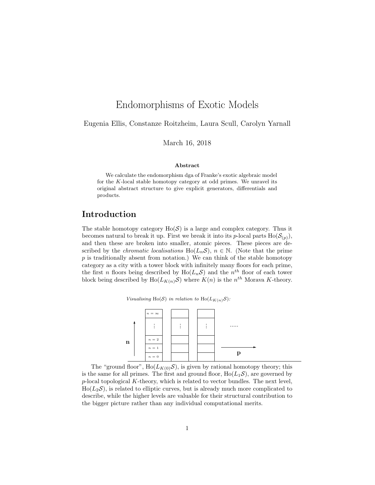## Endomorphisms of Exotic Models

Eugenia Ellis, Constanze Roitzheim, Laura Scull, Carolyn Yarnall

March 16, 2018

#### Abstract

We calculate the endomorphism dga of Franke's exotic algebraic model for the  $K$ -local stable homotopy category at odd primes. We unravel its original abstract structure to give explicit generators, differentials and products.

### Introduction

The stable homotopy category  $Ho(S)$  is a large and complex category. Thus it becomes natural to break it up. First we break it into its p-local parts  $Ho(\mathcal{S}_{(p)}),$ and then these are broken into smaller, atomic pieces. These pieces are described by the *chromatic localisations* Ho( $L_nS$ ),  $n \in \mathbb{N}$ . (Note that the prime  $p$  is traditionally absent from notation.) We can think of the stable homotopy category as a city with a tower block with infinitely many floors for each prime, the first n floors being described by  $Ho(L_nS)$  and the  $n^{th}$  floor of each tower block being described by  $Ho(L_{K(n)}\mathcal{S})$  where  $K(n)$  is the  $n^{th}$  Morava K-theory.





The "ground floor",  $Ho(L_{K(0)}S)$ , is given by rational homotopy theory; this is the same for all primes. The first and ground floor,  $Ho(L_1S)$ , are governed by  $p$ -local topological K-theory, which is related to vector bundles. The next level,  $Ho(L_2\mathcal{S})$ , is related to elliptic curves, but is already much more complicated to describe, while the higher levels are valuable for their structural contribution to the bigger picture rather than any individual computational merits.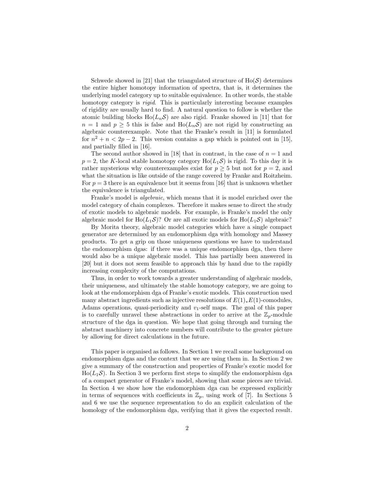Schwede showed in [21] that the triangulated structure of  $Ho(S)$  determines the entire higher homotopy information of spectra, that is, it determines the underlying model category up to suitable equivalence. In other words, the stable homotopy category is *rigid*. This is particularly interesting because examples of rigidity are usually hard to find. A natural question to follow is whether the atomic building blocks  $Ho(L_nS)$  are also rigid. Franke showed in [11] that for  $n = 1$  and  $p \geq 5$  this is false and  $\text{Ho}(L_n\mathcal{S})$  are not rigid by constructing an algebraic counterexample. Note that the Franke's result in [11] is formulated for  $n^2 + n < 2p - 2$ . This version contains a gap which is pointed out in [15], and partially filled in [16].

The second author showed in [18] that in contrast, in the case of  $n = 1$  and  $p = 2$ , the K-local stable homotopy category Ho( $L_1S$ ) is rigid. To this day it is rather mysterious why counterexamples exist for  $p \geq 5$  but not for  $p = 2$ , and what the situation is like outside of the range covered by Franke and Roitzheim. For  $p = 3$  there is an equivalence but it seems from [16] that is unknown whether the equivalence is triangulated.

Franke's model is *algebraic*, which means that it is model enriched over the model category of chain complexes. Therefore it makes sense to direct the study of exotic models to algebraic models. For example, is Franke's model the only algebraic model for Ho( $L_1S$ )? Or are all exotic models for Ho( $L_1S$ ) algebraic?

By Morita theory, algebraic model categories which have a single compact generator are determined by an endomorphism dga with homology and Massey products. To get a grip on those uniqueness questions we have to understand the endomorphism dgas: if there was a unique endomorphism dga, then there would also be a unique algebraic model. This has partially been answered in [20] but it does not seem feasible to approach this by hand due to the rapidly increasing complexity of the computations.

Thus, in order to work towards a greater understanding of algebraic models, their uniqueness, and ultimately the stable homotopy category, we are going to look at the endomorphism dga of Franke's exotic models. This construction used many abstract ingredients such as injective resolutions of  $E(1)_*E(1)$ -comodules, Adams operations, quasi-periodicity and  $v_1$ -self maps. The goal of this paper is to carefully unravel these abstractions in order to arrive at the  $\mathbb{Z}_p$ -module structure of the dga in question. We hope that going through and turning the abstract machinery into concrete numbers will contribute to the greater picture by allowing for direct calculations in the future.

This paper is organised as follows. In Section 1 we recall some background on endomorphism dgas and the context that we are using them in. In Section 2 we give a summary of the construction and properties of Franke's exotic model for  $\text{Ho}(L_1\mathcal{S})$ . In Section 3 we perform first steps to simplify the endomorphism dga of a compact generator of Franke's model, showing that some pieces are trivial. In Section 4 we show how the endomorphism dga can be expressed explicitly in terms of sequences with coefficients in  $\mathbb{Z}_p$ , using work of [7]. In Sections 5 and 6 we use the sequence representation to do an explicit calculation of the homology of the endomorphism dga, verifying that it gives the expected result.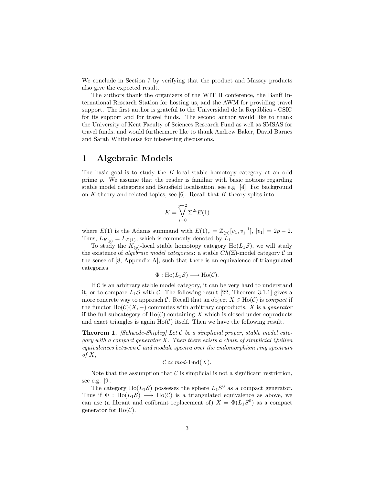We conclude in Section 7 by verifying that the product and Massey products also give the expected result.

The authors thank the organizers of the WIT II conference, the Banff International Research Station for hosting us, and the AWM for providing travel support. The first author is grateful to the Universidad de la República - CSIC for its support and for travel funds. The second author would like to thank the University of Kent Faculty of Sciences Research Fund as well as SMSAS for travel funds, and would furthermore like to thank Andrew Baker, David Barnes and Sarah Whitehouse for interesting discussions.

### 1 Algebraic Models

The basic goal is to study the K-local stable homotopy category at an odd prime p. We assume that the reader is familiar with basic notions regarding stable model categories and Bousfield localisation, see e.g. [4]. For background on  $K$ -theory and related topics, see [6]. Recall that  $K$ -theory splits into

$$
K = \bigvee_{i=0}^{p-2} \Sigma^{2i} E(1)
$$

where  $E(1)$  is the Adams summand with  $E(1)_* = \mathbb{Z}_{(p)}[v_1, v_1^{-1}], |v_1| = 2p - 2$ . Thus,  $L_{K(p)} = L_{E(1)}$ , which is commonly denoted by  $L_1$ .

To study the  $K_{(p)}$ -local stable homotopy category  $Ho(L_1 \mathcal{S})$ , we will study the existence of *algebraic model categories*: a stable  $Ch(\mathbb{Z})$ -model category  $\mathcal C$  in the sense of [8, Appendix A], such that there is an equivalence of triangulated categories

$$
\Phi: \text{Ho}(L_1\mathcal{S}) \longrightarrow \text{Ho}(\mathcal{C}).
$$

If  $\mathcal C$  is an arbitrary stable model category, it can be very hard to understand it, or to compare  $L_1S$  with C. The following result [22, Theorem 3.1.1] gives a more concrete way to approach C. Recall that an object  $X \in Ho(\mathcal{C})$  is *compact* if the functor  $Ho(C)(X, -)$  commutes with arbitrary coproducts. X is a *generator* if the full subcategory of  $Ho(\mathcal{C})$  containing X which is closed under coproducts and exact triangles is again  $Ho(\mathcal{C})$  itself. Then we have the following result.

Theorem 1. *[Schwede-Shipley] Let* C *be a simplicial proper, stable model category with a compact generator* X*. Then there exists a chain of simplicial Quillen equivalences between* C *and module spectra over the endomorphism ring spectrum of* X*,*

$$
C \simeq \text{mod-}\operatorname{End}(X).
$$

Note that the assumption that  $\mathcal C$  is simplicial is not a significant restriction, see e.g. [9].

The category  $Ho(L_1\mathcal{S})$  possesses the sphere  $L_1S^0$  as a compact generator. Thus if  $\Phi : Ho(L_1\mathcal{S}) \longrightarrow Ho(\mathcal{C})$  is a triangulated equivalence as above, we can use (a fibrant and cofibrant replacement of)  $X = \Phi(L_1S^0)$  as a compact generator for  $Ho(\mathcal{C})$ .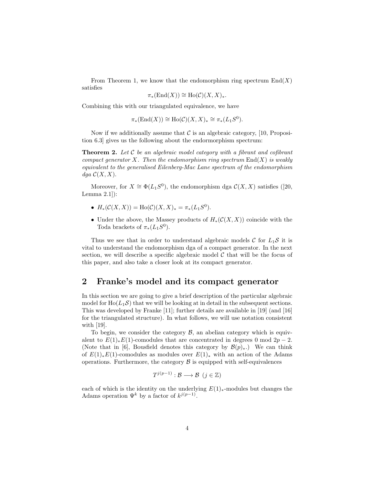From Theorem 1, we know that the endomorphism ring spectrum  $\text{End}(X)$ satisfies

$$
\pi_*(\mathrm{End}(X)) \cong \mathrm{Ho}(\mathcal{C})(X,X)_*.
$$

Combining this with our triangulated equivalence, we have

$$
\pi_*(\mathrm{End}(X)) \cong \mathrm{Ho}(\mathcal{C})(X,X)_* \cong \pi_*(L_1S^0).
$$

Now if we additionally assume that  $\mathcal C$  is an algebraic category, [10, Proposition 6.3] gives us the following about the endormorphism spectrum:

Theorem 2. *Let* C *be an algebraic model category with a fibrant and cofibrant compact generator* X*. Then the endomorphism ring spectrum* End(X) *is weakly equivalent to the generalised Eilenberg-Mac Lane spectrum of the endomorphism*  $dqa \mathcal{C}(X, X)$ .

Moreover, for  $X \cong \Phi(L_1S^0)$ , the endomorphism dga  $\mathcal{C}(X,X)$  satisfies ([20, Lemma 2.1]):

- $H_*(\mathcal{C}(X,X)) = Ho(\mathcal{C})(X,X)_* = \pi_*(L_1S^0).$
- Under the above, the Massey products of  $H_*(\mathcal{C}(X,X))$  coincide with the Toda brackets of  $\pi_*(L_1S^0)$ .

Thus we see that in order to understand algebraic models C for  $L_1S$  it is vital to understand the endomorphism dga of a compact generator. In the next section, we will describe a specific algebraic model  $\mathcal C$  that will be the focus of this paper, and also take a closer look at its compact generator.

#### 2 Franke's model and its compact generator

In this section we are going to give a brief description of the particular algebraic model for  $Ho(L_1\mathcal{S})$  that we will be looking at in detail in the subsequent sections. This was developed by Franke [11]; further details are available in [19] (and [16] for the triangulated structure). In what follows, we will use notation consistent with [19].

To begin, we consider the category  $\mathcal{B}$ , an abelian category which is equivalent to  $E(1)_*E(1)$ -comodules that are concentrated in degrees 0 mod  $2p-2$ . (Note that in [6], Bousfield denotes this category by  $\mathcal{B}(p)_*$ .) We can think of  $E(1)_*E(1)$ -comodules as modules over  $E(1)_*$  with an action of the Adams operations. Furthermore, the category  $\beta$  is equipped with self-equivalences

$$
T^{j(p-1)}:\mathcal{B}\longrightarrow\mathcal{B}\ \ (j\in\mathbb{Z})
$$

each of which is the identity on the underlying  $E(1)_*$ -modules but changes the Adams operation  $\Psi^k$  by a factor of  $k^{j(p-1)}$ .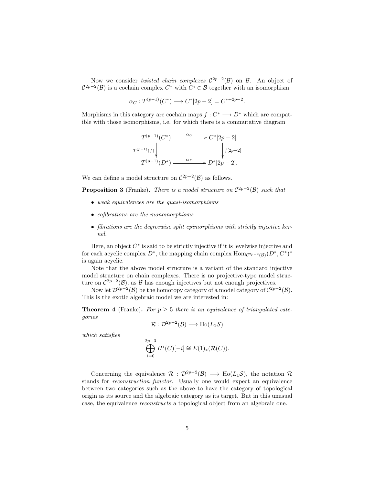Now we consider *twisted chain complexes*  $\mathcal{C}^{2p-2}(\mathcal{B})$  on **B**. An object of  $C^{2p-2}(\mathcal{B})$  is a cochain complex  $C^*$  with  $C^i \in \mathcal{B}$  together with an isomorphism

$$
\alpha_C: T^{(p-1)}(C^*) \longrightarrow C^*[2p-2] = C^{*+2p-2}.
$$

Morphisms in this category are cochain maps  $f: C^* \longrightarrow D^*$  which are compatible with those isomorphisms, i.e. for which there is a commutative diagram

$$
T^{(p-1)}(C^*) \xrightarrow{\alpha_C} C^*[2p-2]
$$

$$
T^{(p-1)}(f) \downarrow \qquad \qquad \downarrow
$$

$$
T^{(p-1)}(D^*) \xrightarrow{\alpha_D} D^*[2p-2].
$$

We can define a model structure on  $\mathcal{C}^{2p-2}(\mathcal{B})$  as follows.

**Proposition 3** (Franke). *There is a model structure on*  $C^{2p-2}(\mathcal{B})$  *such that* 

- *weak equivalences are the quasi-isomorphisms*
- *cofibrations are the monomorphisms*
- *fibrations are the degreewise split epimorphisms with strictly injective kernel.*

Here, an object  $C^*$  is said to be strictly injective if it is levelwise injective and for each acyclic complex  $D^*$ , the mapping chain complex  $\text{Hom}_{\mathcal{C}^{2p-2}(\mathcal{B})}(D^*, C^*)^*$ is again acyclic.

Note that the above model structure is a variant of the standard injective model structure on chain complexes. There is no projective-type model structure on  $\mathcal{C}^{2p-2}(\mathcal{B})$ , as  $\mathcal B$  has enough injectives but not enough projectives.

Now let  $\mathcal{D}^{2p-2}(\mathcal{B})$  be the homotopy category of a model category of  $\mathcal{C}^{2p-2}(\mathcal{B})$ . This is the exotic algebraic model we are interested in:

**Theorem 4** (Franke). For  $p \geq 5$  there is an equivalence of triangulated cate*gories*

$$
\mathcal{R}: \mathcal{D}^{2p-2}(\mathcal{B}) \longrightarrow \text{Ho}(L_1\mathcal{S})
$$

*which satisfies*

$$
\bigoplus_{i=0}^{2p-3} H^i(C)[-i] \cong E(1)_*(\mathcal{R}(C)).
$$

Concerning the equivalence  $\mathcal{R}: \mathcal{D}^{2p-2}(\mathcal{B}) \longrightarrow \text{Ho}(L_1\mathcal{S})$ , the notation  $\mathcal{R}$ stands for *reconstruction functor*. Usually one would expect an equivalence between two categories such as the above to have the category of topological origin as its source and the algebraic category as its target. But in this unusual case, the equivalence *reconstructs* a topological object from an algebraic one.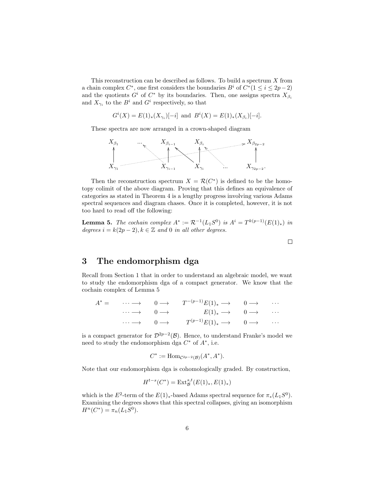This reconstruction can be described as follows. To build a spectrum  $X$  from a chain complex  $C^*$ , one first considers the boundaries  $B^i$  of  $C^*(1 \leq i \leq 2p-2)$ and the quotients  $G^i$  of  $C^*$  by its boundaries. Then, one assigns spectra  $X_{\beta_i}$ and  $X_{\gamma_i}$  to the  $B^i$  and  $G^i$  respectively, so that

$$
G^{i}(X) = E(1)_{*}(X_{\gamma_{i}})[-i]
$$
 and  $B^{i}(X) = E(1)_{*}(X_{\beta_{i}})[-i].$ 

These spectra are now arranged in a crown-shaped diagram



Then the reconstruction spectrum  $X = \mathcal{R}(C^*)$  is defined to be the homotopy colimit of the above diagram. Proving that this defines an equivalence of categories as stated in Theorem 4 is a lengthy progress involving various Adams spectral sequences and diagram chases. Once it is completed, however, it is not too hard to read off the following:

**Lemma 5.** *The cochain complex*  $A^* := \mathcal{R}^{-1}(L_1S^0)$  *is*  $A^i = T^{k(p-1)}(E(1)_*)$  *in degrees*  $i = k(2p - 2)$ ,  $k \in \mathbb{Z}$  *and* 0 *in all other degrees.* 

 $\Box$ 

3 The endomorphism dga

Recall from Section 1 that in order to understand an algebraic model, we want to study the endomorphism dga of a compact generator. We know that the cochain complex of Lemma 5

|  | $A^* = \cdots \longrightarrow 0 \longrightarrow T^{-(p-1)}E(1)_* \longrightarrow 0 \longrightarrow \cdots$ |  |
|--|------------------------------------------------------------------------------------------------------------|--|
|  | $\cdots \longrightarrow 0 \longrightarrow E(1)_* \longrightarrow 0 \longrightarrow \cdots$                 |  |
|  | $\cdots \longrightarrow 0 \longrightarrow T^{(p-1)}E(1)_* \longrightarrow 0 \longrightarrow \cdots$        |  |

is a compact generator for  $\mathcal{D}^{2p-2}(\mathcal{B})$ . Hence, to understand Franke's model we need to study the endomorphism dga  $C^*$  of  $A^*$ , i.e.

$$
C^* := \operatorname{Hom}_{\mathcal{C}^{2p-2}(\mathcal{B})}(A^*, A^*).
$$

Note that our endomorphism dga is cohomologically graded. By construction,

$$
H^{t-s}(C^*) = \text{Ext}^{s,t}_\mathcal{B}(E(1)_*, E(1)_*)
$$

which is the  $E^2$ -term of the  $E(1)_*$ -based Adams spectral sequence for  $\pi_*(L_1S^0)$ . Examining the degrees shows that this spectral collapses, giving an isomorphism  $H^n(C^*) = \pi_n(L_1S^0).$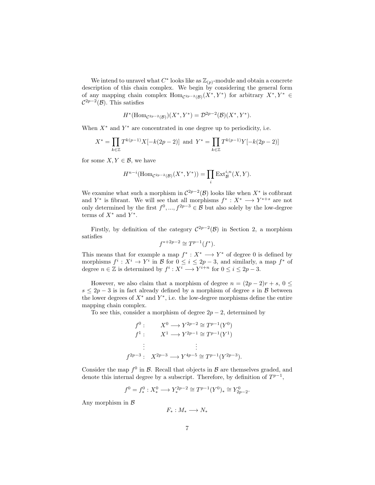We intend to unravel what  $C^*$  looks like as  $\mathbb{Z}_{(p)}$ -module and obtain a concrete description of this chain complex. We begin by considering the general form of any mapping chain complex  $\text{Hom}_{\mathcal{C}^{2p-2}(\mathcal{B})}(X^*,Y^*)$  for arbitrary  $X^*,Y^* \in$  $\mathcal{C}^{2p-2}(\mathcal{B})$ . This satisfies

$$
H^*(\mathrm{Hom}_{\mathcal{C}^{2p-2}(\mathcal{B})})(X^*,Y^*)=\mathcal{D}^{2p-2}(\mathcal{B})(X^*,Y^*).
$$

When  $X^*$  and  $Y^*$  are concentrated in one degree up to periodicity, i.e.

$$
X^* = \prod_{k \in \mathbb{Z}} T^{k(p-1)} X[-k(2p-2)] \text{ and } Y^* = \prod_{k \in \mathbb{Z}} T^{k(p-1)} Y[-k(2p-2)]
$$

for some  $X, Y \in \mathcal{B}$ , we have

$$
H^{n-i}(\mathrm{Hom}_{\mathcal{C}^{2p-2}(\mathcal{B})}(X^*,Y^*)) = \prod_i \mathrm{Ext}^{i,n}_{\mathcal{B}}(X,Y).
$$

We examine what such a morphism in  $\mathcal{C}^{2p-2}(\mathcal{B})$  looks like when  $X^*$  is cofibrant and  $Y^*$  is fibrant. We will see that all morphisms  $f^* : X^* \longrightarrow Y^{*+s}$  are not only determined by the first  $f^0, ..., f^{2p-3} \in \mathcal{B}$  but also solely by the low-degree terms of  $X^*$  and  $Y^*$ .

Firstly, by definition of the category  $\mathcal{C}^{2p-2}(\mathcal{B})$  in Section 2, a morphism satisfies

$$
f^{*+2p-2} \cong T^{p-1}(f^*).
$$

This means that for example a map  $f^* : X^* \longrightarrow Y^*$  of degree 0 is defined by morphisms  $f^i: X^i \to Y^i$  in  $\mathcal{B}$  for  $0 \leq i \leq 2p-3$ , and similarly, a map  $f^*$  of degree  $n \in \mathbb{Z}$  is determined by  $f^i: X^i \longrightarrow Y^{i+n}$  for  $0 \leq i \leq 2p-3$ .

However, we also claim that a morphism of degree  $n = (2p - 2)r + s, 0 \le$  $s \leq 2p-3$  is in fact already defined by a morphism of degree s in B between the lower degrees of  $X^*$  and  $Y^*$ , i.e. the low-degree morphisms define the entire mapping chain complex.

To see this, consider a morphism of degree  $2p - 2$ , determined by

$$
f^{0}: \t X^{0} \to Y^{2p-2} \cong T^{p-1}(Y^{0})
$$
  

$$
f^{1}: \t X^{1} \to Y^{2p-1} \cong T^{p-1}(Y^{1})
$$
  

$$
\vdots \t \vdots
$$
  

$$
f^{2p-3}: \t X^{2p-3} \to Y^{4p-5} \cong T^{p-1}(Y^{2p-3}).
$$

Consider the map  $f^0$  in  $\mathcal{B}$ . Recall that objects in  $\mathcal{B}$  are themselves graded, and denote this internal degree by a subscript. Therefore, by definition of  $T^{p-1}$ ,

$$
f^{0} = f_{*}^{0} : X_{*}^{0} \longrightarrow Y_{*}^{2p-2} \cong T^{p-1}(Y^{0})_{*} \cong Y_{2p-2}^{0}.
$$

Any morphism in  $\beta$ 

$$
F_*:M_*\longrightarrow N_*
$$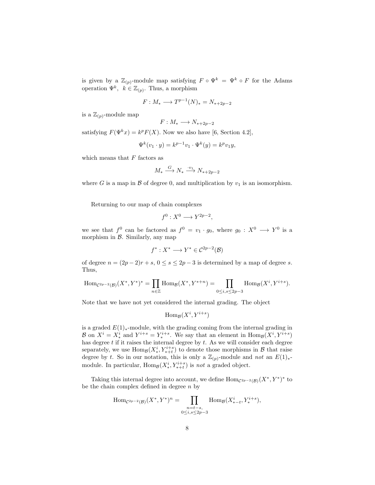is given by a  $\mathbb{Z}_{(p)}$ -module map satisfying  $F \circ \Psi^k = \Psi^k \circ F$  for the Adams operation  $\Psi^k$ ,  $k \in \mathbb{Z}_{(p)}$ . Thus, a morphism

$$
F: M_* \longrightarrow T^{p-1}(N)_* = N_{*+2p-2}
$$

is a  $\mathbb{Z}_{(p)}$ -module map

$$
F: M_* \longrightarrow N_{*+2p-2}
$$

satisfying  $F(\Psi^k x) = k^p F(X)$ . Now we also have [6, Section 4.2],

$$
\Psi^k(v_1 \cdot y) = k^{p-1}v_1 \cdot \Psi^k(y) = k^p v_1 y,
$$

which means that  $F$  factors as

$$
M_* \xrightarrow{G} N_* \xrightarrow{\cdot v_1} N_{*+2p-2}
$$

where G is a map in B of degree 0, and multiplication by  $v_1$  is an isomorphism.

Returning to our map of chain complexes

$$
f^0: X^0 \longrightarrow Y^{2p-2},
$$

we see that  $f^0$  can be factored as  $f^0 = v_1 \cdot g_0$ , where  $g_0: X^0 \longrightarrow Y^0$  is a morphism in  $\beta$ . Similarly, any map

$$
f^*: X^* \longrightarrow Y^* \in \mathcal{C}^{2p-2}(\mathcal{B})
$$

of degree  $n = (2p - 2)r + s$ ,  $0 \le s \le 2p - 3$  is determined by a map of degree s. Thus,

Hom<sub>C<sup>2p-2</sup>(B)</sub>
$$
(X^*, Y^*)^* = \prod_{n \in \mathbb{Z}} \text{Hom}_{\mathcal{B}}(X^*, Y^{*+n}) = \prod_{0 \le i, s \le 2p-3} \text{Hom}_{\mathcal{B}}(X^i, Y^{i+s}).
$$

Note that we have not yet considered the internal grading. The object

$$
\mathrm{Hom}_{\mathcal{B}}(X^i,Y^{i+s})
$$

is a graded  $E(1)$ <sub>\*</sub>-module, with the grading coming from the internal grading in  $\mathcal{B}$  on  $X^i = X^i_*$  and  $Y^{i+s} = Y^{i+s}_*$ . We say that an element in  $\text{Hom}_{\mathcal{B}}(X^i, Y^{i+s})$ has degree  $t$  if it raises the internal degree by  $t$ . As we will consider each degree separately, we use  $\text{Hom}_{\mathcal{B}}(X_*^i, Y_{*+t}^{i+s})$  to denote those morphisms in  $\mathcal{B}$  that raise degree by t. So in our notation, this is only a  $\mathbb{Z}_{(p)}$ -module and *not* an  $E(1)_*$ module. In particular,  $\text{Hom}_{\mathcal{B}}(X_*^i, Y_{*+t}^{i+s})$  is *not* a graded object.

Taking this internal degree into account, we define  $\text{Hom}_{\mathcal{C}^{2p-2}(\mathcal{B})}(X^*,Y^*)^*$  to be the chain complex defined in degree  $n$  by

Hom<sub>C<sup>2p-2</sup>(B)</sub>
$$
(X^*, Y^*)^n = \prod_{\substack{n=t-s,\\0 \le i,s \le 2p-3}} \text{Hom}_{\mathcal{B}}(X_{*-t}^i, Y_*^{i+s}),
$$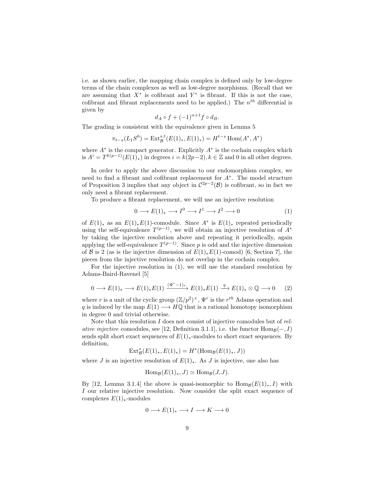i.e. as shown earlier, the mapping chain complex is defined only by low-degree terms of the chain complexes as well as low-degree morphisms. (Recall that we are assuming that  $X^*$  is cofibrant and  $Y^*$  is fibrant. If this is not the case, cofibrant and fibrant replacements need to be applied.) The  $n<sup>th</sup>$  differential is given by

$$
d_A \circ f + (-1)^{n+1} f \circ d_B.
$$

The grading is consistent with the equivalence given in Lemma 5

$$
\pi_{t-s}(L_1S^0) = \text{Ext}^{s,t}_\mathcal{B}(E(1)_*, E(1)_*) = H^{t-s} \text{Hom}(A^*, A^*)
$$

where  $A^*$  is the compact generator. Explicitly  $A^*$  is the cochain complex which is  $A^{i} = T^{k(p-1)}(E(1)_{\ast})$  in degrees  $i = k(2p-2), k \in \mathbb{Z}$  and 0 in all other degrees.

In order to apply the above discussion to our endomorphism complex, we need to find a fibrant and cofibrant replacement for A<sup>∗</sup> . The model structure of Proposition 3 implies that any object in  $\mathcal{C}^{2p-2}(\mathcal{B})$  is cofibrant, so in fact we only need a fibrant replacement.

To produce a fibrant replacement, we will use an injective resolution

$$
0 \longrightarrow E(1)_* \longrightarrow I^0 \longrightarrow I^1 \longrightarrow I^2 \longrightarrow 0 \tag{1}
$$

of  $E(1)_*$  as an  $E(1)_*E(1)$ -comodule. Since  $A^*$  is  $E(1)_*$  repeated periodically using the self-equivalence  $T^{(p-1)}$ , we will obtain an injective resolution of  $A^*$ by taking the injective resolution above and repeating it periodically, again applying the self-equivalence  $T^{(p-1)}$ . Since p is odd and the injective dimension of B is 2 (as is the injective dimension of  $E(1)_*E(1)$ -comod) [6, Section 7], the pieces from the injective resolution do not overlap in the cochain complex.

For the injective resolution in (1), we will use the standard resolution by Adams-Baird-Ravenel [5]

$$
0 \longrightarrow E(1)_* \longrightarrow E(1)_*E(1) \xrightarrow{(\Psi^r - 1)_*} E(1)_*E(1) \xrightarrow{q} E(1)_* \otimes \mathbb{Q} \longrightarrow 0 \qquad (2)
$$

where r is a unit of the cyclic group  $(\mathbb{Z}/p^2)^{\times}$ ,  $\Psi^r$  is the r<sup>th</sup> Adams operation and q is induced by the map  $E(1) \longrightarrow H\mathbb{Q}$  that is a rational homotopy isomorphism in degree 0 and trivial otherwise.

Note that this resolution I does not consist of injective comodules but of *relative injective* comodules, see [12, Definition 3.1.1], i.e. the functor  $\text{Hom}_{\mathcal{B}}(-, I)$ sends split short exact sequences of  $E(1)_*$ -modules to short exact sequences. By definition,

$$
\mathrm{Ext}^*_{\mathcal{B}}(E(1)_*, E(1)_*)=H^*(\mathrm{Hom}_{\mathcal{B}}(E(1)_*, J))
$$

where J is an injective resolution of  $E(1)_*$ . As J is injective, one also has

$$
\operatorname{Hom}_{\mathcal{B}}(E(1)_*, J) \simeq \operatorname{Hom}_{\mathcal{B}}(J, J).
$$

By [12, Lemma 3.1.4] the above is quasi-isomorphic to  $\text{Hom}_{\mathcal{B}}(E(1)_*, I)$  with I our relative injective resolution. Now consider the split exact sequence of complexes  $E(1)_{*}$ -modules

$$
0 \longrightarrow E(1)_* \longrightarrow I \longrightarrow K \longrightarrow 0
$$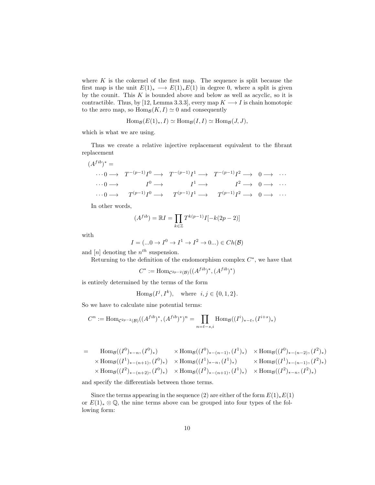where  $K$  is the cokernel of the first map. The sequence is split because the first map is the unit  $E(1)_* \longrightarrow E(1)_*E(1)$  in degree 0, where a split is given by the counit. This  $K$  is bounded above and below as well as acyclic, so it is contractible. Thus, by [12, Lemma 3.3.3], every map  $K \longrightarrow I$  is chain homotopic to the zero map, so  $\text{Hom}_{\mathcal{B}}(K, I) \simeq 0$  and consequently

$$
\operatorname{Hom}_{\mathcal{B}}(E(1)_*, I) \simeq \operatorname{Hom}_{\mathcal{B}}(I, I) \simeq \operatorname{Hom}_{\mathcal{B}}(J, J),
$$

which is what we are using.

Thus we create a relative injective replacement equivalent to the fibrant replacement

$$
(A^{fib})^* = \cdots 0 \longrightarrow T^{-(p-1)}I^0 \longrightarrow T^{-(p-1)}I^1 \longrightarrow T^{-(p-1)}I^2 \longrightarrow 0 \longrightarrow \cdots
$$
  

$$
\cdots 0 \longrightarrow I^0 \longrightarrow I^1 \longrightarrow I^2 \longrightarrow 0 \longrightarrow \cdots
$$
  

$$
\cdots 0 \longrightarrow T^{(p-1)}I^0 \longrightarrow T^{(p-1)}I^1 \longrightarrow T^{(p-1)}I^2 \longrightarrow 0 \longrightarrow \cdots
$$

In other words,

$$
(A^{fib})=\mathbb RI=\prod_{k\in\mathbb Z}T^{k(p-1)}I[-k(2p-2)]
$$

with

$$
I = (\dots 0 \to I^0 \to I^1 \to I^2 \to 0 \dots) \in Ch(\mathcal{B})
$$

and  $[n]$  denoting the  $n<sup>th</sup>$  suspension.

Returning to the definition of the endomorphism complex  $C^*$ , we have that

$$
C^* := \text{Hom}_{\mathcal{C}^{2p-2}(\mathcal{B})}((A^{fib})^*, (A^{fib})^*)
$$

is entirely determined by the terms of the form

Hom<sub>B</sub> $(I^j, I^k)$ , where  $i, j \in \{0, 1, 2\}$ .

So we have to calculate nine potential terms:

$$
C^n := \text{Hom}_{\mathcal{C}^{2p-2}(\mathcal{B})}((A^{fib})^*, (A^{fib})^*)^n = \prod_{n=t-s,i} \text{Hom}_{\mathcal{B}}((I^i)_{*-t}, (I^{i+s})_*)
$$

$$
= \text{Hom}_{\mathcal{B}}((I^{0})_{*-n}, (I^{0})_{*}) \times \text{Hom}_{\mathcal{B}}((I^{0})_{*-(n-1)}, (I^{1})_{*}) \times \text{Hom}_{\mathcal{B}}((I^{0})_{*-(n-2)}, (I^{2})_{*})
$$
  
 
$$
\times \text{Hom}_{\mathcal{B}}((I^{1})_{*-(n+1)}, (I^{0})_{*}) \times \text{Hom}_{\mathcal{B}}((I^{1})_{*-(n)}, (I^{1})_{*}) \times \text{Hom}_{\mathcal{B}}((I^{1})_{*-(n-1)}, (I^{2})_{*})
$$
  
 
$$
\times \text{Hom}_{\mathcal{B}}((I^{2})_{*-(n+2)}, (I^{0})_{*}) \times \text{Hom}_{\mathcal{B}}((I^{2})_{*-(n+1)}, (I^{1})_{*}) \times \text{Hom}_{\mathcal{B}}((I^{2})_{*-(n)}, (I^{2})_{*})
$$

and specify the differentials between those terms.

Since the terms appearing in the sequence (2) are either of the form  $E(1)_*E(1)$ or  $E(1)_* \otimes \mathbb{Q}$ , the nine terms above can be grouped into four types of the following form: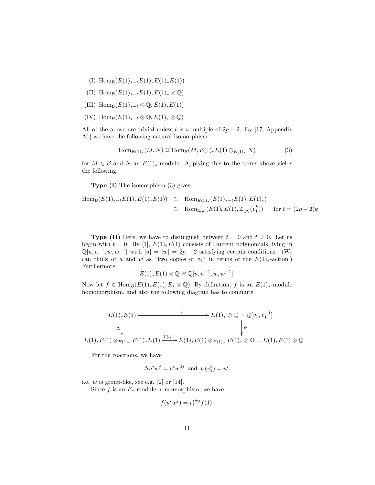- (I) Hom $g(E(1)_{*-t}E(1), E(1)_*E(1))$
- (II) Hom $g(E(1)_{*-t}E(1), E(1)_{*} \otimes \mathbb{Q})$
- (III) Hom $g(E(1)_{*-t} \otimes \mathbb{Q}, E(1)_*E(1))$
- (IV) Hom $g(E(1)_{*-t} \otimes \mathbb{Q}, E(1)_* \otimes \mathbb{Q})$

All of the above are trivial unless t is a multiple of  $2p - 2$ . By [17, Appendix A1] we have the following natural isomorphism

$$
\text{Hom}_{E(1)_*}(M, N) \cong \text{Hom}_{\mathcal{B}}(M, E(1)_*E(1) \otimes_{E(1)_*} N) \tag{3}
$$

for  $M \in \mathcal{B}$  and N an  $E(1)$ <sub>\*</sub>-module. Applying this to the terms above yields the following.

Type (I) The isomorphism (3) gives

Hom<sub>B</sub>(E(1)<sub>\*-t</sub>E(1), E(1)<sub>\*</sub>E(1)) 
$$
\cong
$$
 Hom<sub>E(1)</sub><sub>\*</sub>(E(1)<sub>\*-t</sub>E(1), E(1)<sub>\*</sub>)  
 $\cong$  Hom<sub>Z(p)</sub>(E(1)<sub>0</sub>E(1), Z<sub>(p)</sub>(v<sub>1</sub><sup>k</sup>)) for  $t = (2p - 2)k$ 

**Type (II)** Here, we have to distinguish between  $t = 0$  and  $t \neq 0$ . Let us begin with  $t = 0$ . By [1],  $E(1)_*E(1)$  consists of Laurent polynomials living in  $\mathbb{Q}[u, u^{-1}, w, w^{-1}]$  with  $|u| = |w| = 2p - 2$  satisfying certain conditions. (We can think of u and w as "two copies of  $v_1$ " in terms of the  $E(1)_*$ -action.) Furthermore,

$$
E(1)_*E(1)\otimes\mathbb{Q}\cong\mathbb{Q}[u,u^{-1},w,w^{-1}].
$$

Now let  $f \in \text{Hom}_{\mathcal{B}}(E(1)_*E(1), E_* \otimes \mathbb{Q})$ . By definition, f is an  $E(1)_*$ -module homomorphism, and also the following diagram has to commute.

$$
E(1)_*E(1) \xrightarrow{f} E(1)_* \otimes \mathbb{Q} = \mathbb{Q}[v_1, v_1^{-1}]
$$
  
\n
$$
\Delta \downarrow \qquad \qquad \downarrow \qquad \qquad \downarrow \qquad \qquad \downarrow \qquad \qquad \downarrow
$$
  
\n
$$
E(1)_*E(1) \otimes_{E(1)_*} E(1)_*E(1) \xrightarrow{1 \otimes f} E(1)_*E(1) \otimes_{E(1)_*} E(1)_* \otimes \mathbb{Q} = E(1)_*E(1) \otimes \mathbb{Q}.
$$

For the coactions, we have

$$
\Delta u^i w^j = u^i w^{2j} \text{ and } \psi(v_1^i) = u^i,
$$

i.e.  $w$  is group-like, see e.g.  $[2]$  or  $[14]$ .

Since f is an  $E_*$ -module homomorphism, we have

$$
f(u^iw^j) = v_1^{i+j}f(1).
$$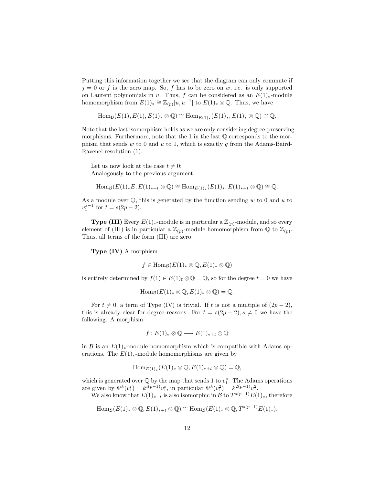Putting this information together we see that the diagram can only commute if  $j = 0$  or f is the zero map. So, f has to be zero on w, i.e. is only supported on Laurent polynomials in u. Thus, f can be considered as an  $E(1)_*$ -module homomorphism from  $E(1)_* \cong \mathbb{Z}_{(p)}[u, u^{-1}]$  to  $E(1)_* \otimes \mathbb{Q}$ . Thus, we have

```
\text{Hom}_{\mathcal{B}}(E(1)_*E(1), E(1)_* \otimes \mathbb{Q}) \cong \text{Hom}_{E(1)_*}(E(1)_*, E(1)_* \otimes \mathbb{Q}) \cong \mathbb{Q}.
```
Note that the last isomorphism holds as we are only considering degree-preserving morphisms. Furthermore, note that the 1 in the last  $\mathbb Q$  corresponds to the morphism that sends w to 0 and u to 1, which is exactly q from the Adams-Baird-Ravenel resolution (1).

Let us now look at the case  $t \neq 0$ : Analogously to the previous argument,

 $\text{Hom}_{\mathcal{B}}(E(1)_*E, E(1)_{*+t} \otimes \mathbb{Q}) \cong \text{Hom}_{E(1)_*}(E(1)_*, E(1)_{*+t} \otimes \mathbb{Q}) \cong \mathbb{Q}.$ 

As a module over  $\mathbb{Q}$ , this is generated by the function sending w to 0 and u to  $v_1^{s-1}$  for  $t = s(2p - 2)$ .

**Type (III)** Every  $E(1)$ <sub>\*</sub>-module is in particular a  $\mathbb{Z}_{(p)}$ -module, and so every element of (III) is in particular a  $\mathbb{Z}_{(p)}$ -module homomorphism from  $\mathbb{Q}$  to  $\mathbb{Z}_{(p)}$ . Thus, all terms of the form (III) are zero.

Type (IV) A morphism

$$
f \in \operatorname{Hom}_{\mathcal{B}}(E(1)_* \otimes \mathbb{Q}, E(1)_* \otimes \mathbb{Q})
$$

is entirely determined by  $f(1) \in E(1)_0 \otimes \mathbb{Q} = \mathbb{Q}$ , so for the degree  $t = 0$  we have

$$
\mathrm{Hom}_{\mathcal{B}}(E(1)_*\otimes \mathbb{Q}, E(1)_*\otimes \mathbb{Q})=\mathbb{Q}.
$$

For  $t \neq 0$ , a term of Type (IV) is trivial. If t is not a multiple of  $(2p - 2)$ , this is already clear for degree reasons. For  $t = s(2p - 2), s \neq 0$  we have the following. A morphism

$$
f: E(1)_* \otimes \mathbb{Q} \longrightarrow E(1)_{*+t} \otimes \mathbb{Q}
$$

in B is an  $E(1)$ <sub>\*</sub>-module homomorphism which is compatible with Adams operations. The  $E(1)_{*}$ -module homomorphisms are given by

$$
\mathrm{Hom}_{E(1)_*}(E(1)_* \otimes \mathbb{Q}, E(1)_{*+t} \otimes \mathbb{Q}) = \mathbb{Q},
$$

which is generated over  $\mathbb Q$  by the map that sends 1 to  $v_1^s$ . The Adams operations are given by  $\Psi^k(v_1^i) = k^{i(p-1)}v_1^s$ , in particular  $\Psi^k(v_1^2) = k^{2(p-1)}v_1^2$ .

We also know that  $E(1)_{n+t}$  is also isomorphic in  $\mathcal{B}$  to  $T^{s(p-1)}E(1)_n$ , therefore

$$
\mathrm{Hom}_{\mathcal{B}}(E(1)_* \otimes \mathbb{Q}, E(1)_{*+t} \otimes \mathbb{Q}) \cong \mathrm{Hom}_{\mathcal{B}}(E(1)_* \otimes \mathbb{Q}, T^{s(p-1)}E(1)_*).
$$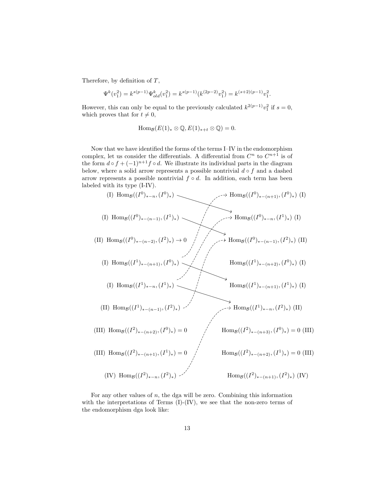Therefore, by definition of  $T$ ,

$$
\Psi^k(v_1^2) = k^{s(p-1)} \Psi^k_{old}(v_1^2) = k^{s(p-1)} (k^{(2p-2)} v_1^2) = k^{(s+2)(p-1)} v_1^2.
$$

However, this can only be equal to the previously calculated  $k^{2(p-1)}v_1^2$  if  $s=0$ , which proves that for  $t \neq 0$ ,

$$
\mathrm{Hom}_{\mathcal{B}}(E(1)_*\otimes \mathbb{Q}, E(1)_{*+t}\otimes \mathbb{Q})=0.
$$

Now that we have identified the forms of the terms I–IV in the endomorphism complex, let us consider the differentials. A differential from  $C<sup>n</sup>$  to  $C<sup>n+1</sup>$  is of the form  $d \circ f + (-1)^{n+1} f \circ d$ . We illustrate its individual parts in the diagram below, where a solid arrow represents a possible nontrivial  $d \circ f$  and a dashed arrow represents a possible nontrivial  $f \circ d$ . In addition, each term has been labeled with its type (I-IV).

$$
(I) Hom_{\mathcal{B}}((I^{0})_{*-n}, (I^{0})_{*}) \longrightarrow Hom_{\mathcal{B}}((I^{0})_{*-(n+1)}, (I^{0})_{*}) \text{ (I)}
$$
\n
$$
(I) Hom_{\mathcal{B}}((I^{0})_{*-(n-1)}, (I^{1})_{*}) \longrightarrow Hom_{\mathcal{B}}((I^{0})_{*-(n+1)}, (I^{1})_{*}) \text{ (I)}
$$
\n
$$
(II) Hom_{\mathcal{B}}((I^{1})_{*-(n+1)}, (I^{0})_{*}) \longrightarrow Hom_{\mathcal{B}}((I^{0})_{*-(n-1)}, (I^{2})_{*}) \text{ (II)}
$$
\n
$$
(II) Hom_{\mathcal{B}}((I^{1})_{*-(n+1)}, (I^{0})_{*}) \longrightarrow Hom_{\mathcal{B}}((I^{1})_{*-(n+2)}, (I^{0})_{*}) \text{ (I)}
$$
\n
$$
(II) Hom_{\mathcal{B}}((I^{1})_{*-(n-1)}, (I^{2})_{*}) \longrightarrow Hom_{\mathcal{B}}((I^{1})_{*-(n+1)}, (I^{1})_{*}) \text{ (I)}
$$
\n
$$
(III) Hom_{\mathcal{B}}((I^{2})_{*-(n+2)}, (I^{0})_{*}) = 0 \longrightarrow Hom_{\mathcal{B}}((I^{2})_{*-(n+3)}, (I^{0})_{*}) = 0 \text{ (III)}
$$
\n
$$
(III) Hom_{\mathcal{B}}((I^{2})_{*-(n+1)}, (I^{1})_{*}) = 0 \longrightarrow Hom_{\mathcal{B}}((I^{2})_{*-(n+2)}, (I^{1})_{*}) = 0 \text{ (III)}
$$
\n
$$
(IV) Hom_{\mathcal{B}}((I^{2})_{*-(n+1)}, (I^{2})_{*}) \longrightarrow Hom_{\mathcal{B}}((I^{2})_{*-(n+1)}, (I^{2})_{*}) \text{ (IV)}
$$

For any other values of  $n$ , the dga will be zero. Combining this information with the interpretations of Terms  $(I)$ - $(IV)$ , we see that the non-zero terms of the endomorphism dga look like: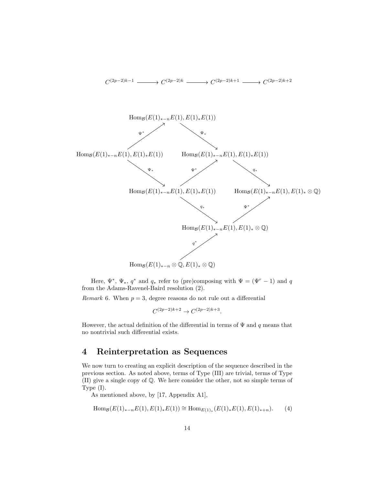

Here,  $\Psi^*$ ,  $\Psi_*$ ,  $q^*$  and  $q_*$  refer to (pre)composing with  $\Psi = (\Psi^r - 1)$  and q from the Adams-Ravenel-Baird resolution (2).

*Remark* 6. When  $p = 3$ , degree reasons do not rule out a differential

$$
C^{(2p-2)k+2} \to C^{(2p-2)k+3}.
$$

However, the actual definition of the differential in terms of  $\Psi$  and q means that no nontrivial such differential exists.

## 4 Reinterpretation as Sequences

We now turn to creating an explicit description of the sequence described in the previous section. As noted above, terms of Type (III) are trivial, terms of Type (II) give a single copy of Q. We here consider the other, not so simple terms of Type (I).

As mentioned above, by [17, Appendix A1],

$$
\text{Hom}_{\mathcal{B}}(E(1)_{*-n}E(1), E(1)_*E(1)) \cong \text{Hom}_{E(1)_*}(E(1)_*E(1), E(1)_{*+n}).
$$
 (4)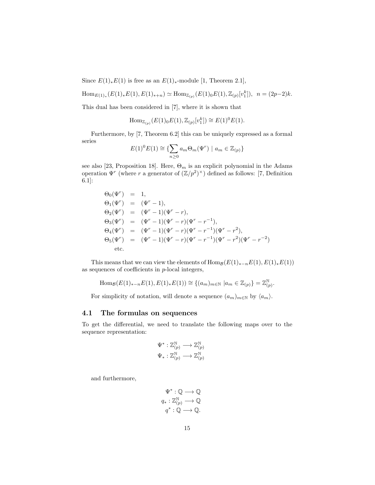Since  $E(1)_*E(1)$  is free as an  $E(1)_*$ -module [1, Theorem 2.1],

Hom<sub>E(1)</sub><sub>\*</sub>(E(1)<sub>\*</sub>E(1), E(1)<sub>\*\*</sub>) 
$$
\simeq
$$
 Hom<sub>Z(p)</sub>(E(1)<sub>0</sub>E(1),  $\mathbb{Z}_{(p)}[v_1^k]$ ),  $n = (2p-2)k$ .

This dual has been considered in [7], where it is shown that

Hom<sub>Z(p)</sub>(
$$
E(1)_0E(1), \mathbb{Z}_{(p)}[v_1^k]
$$
)  $\cong E(1)^0E(1)$ .

Furthermore, by [7, Theorem 6.2] this can be uniquely expressed as a formal series

$$
E(1)^0 E(1) \cong \{ \sum_{n \ge 0} a_m \Theta_m(\Psi^r) \mid a_m \in \mathbb{Z}_{(p)} \}
$$

see also [23, Proposition 18]. Here,  $\Theta_m$  is an explicit polynomial in the Adams operation  $\Psi^r$  (where r a generator of  $(\mathbb{Z}/p^2)^{\times}$ ) defined as follows: [7, Definition 6.1]:

$$
\Theta_0(\Psi^r) = 1,
$$
  
\n
$$
\Theta_1(\Psi^r) = (\Psi^r - 1),
$$
  
\n
$$
\Theta_2(\Psi^r) = (\Psi^r - 1)(\Psi^r - r),
$$
  
\n
$$
\Theta_3(\Psi^r) = (\Psi^r - 1)(\Psi^r - r)(\Psi^r - r^{-1}),
$$
  
\n
$$
\Theta_4(\Psi^r) = (\Psi^r - 1)(\Psi^r - r)(\Psi^r - r^{-1})(\Psi^r - r^2),
$$
  
\n
$$
\Theta_5(\Psi^r) = (\Psi^r - 1)(\Psi^r - r)(\Psi^r - r^{-1})(\Psi^r - r^2)(\Psi^r - r^{-2})
$$
  
\netc.

This means that we can view the elements of  $\text{Hom}_{\mathcal{B}}(E(1)_{*-n}E(1), E(1)_{*}E(1))$ as sequences of coefficients in  $p$ -local integers,

Hom<sub>B</sub>
$$
(E(1)_{*-n}E(1), E(1)_{*}E(1)) \cong \{(a_m)_{m \in \mathbb{N}} | a_m \in \mathbb{Z}_{(p)}\} = \mathbb{Z}_{(p)}^{\mathbb{N}}
$$

For simplicity of notation, will denote a sequence  $(a_m)_{m\in\mathbb{N}}$  by  $\langle a_m \rangle$ .

#### 4.1 The formulas on sequences

To get the differential, we need to translate the following maps over to the sequence representation:

$$
\Psi^* : \mathbb{Z}_{(p)}^{\mathbb{N}} \longrightarrow \mathbb{Z}_{(p)}^{\mathbb{N}}
$$

$$
\Psi_* : \mathbb{Z}_{(p)}^{\mathbb{N}} \longrightarrow \mathbb{Z}_{(p)}^{\mathbb{N}}
$$

and furthermore,

$$
\Psi^* : \mathbb{Q} \longrightarrow \mathbb{Q}
$$

$$
q_* : \mathbb{Z}_{(p)}^{\mathbb{N}} \longrightarrow \mathbb{Q}
$$

$$
q^* : \mathbb{Q} \longrightarrow \mathbb{Q}.
$$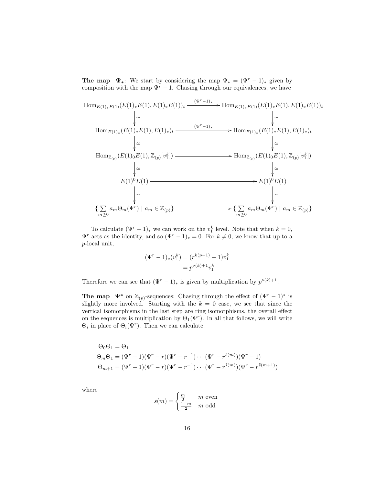The map  $\Psi_*$ : We start by considering the map  $\Psi_* = (\Psi^r - 1)_*$  given by composition with the map  $\Psi^r - 1$ . Chasing through our equivalences, we have

$$
\text{Hom}_{E(1)_*E(1)}(E(1)_*E(1), E(1)_*E(1))_t \xrightarrow{\ (\Psi^r-1)_*} \text{Hom}_{E(1)_*E(1)}(E(1)_*E(1), E(1)_*E(1))_t
$$
\n
$$
\downarrow \simeq \qquad \qquad \downarrow \simeq
$$
\n
$$
\text{Hom}_{E(1)_*}(E(1)_*E(1), E(1)_*)_t \xrightarrow{\ (\Psi^r-1)_*} \text{Hom}_{E(1)_*}(E(1)_*E(1), E(1)_*)_t
$$
\n
$$
\downarrow \simeq \qquad \qquad \downarrow \simeq
$$
\n
$$
\text{Hom}_{\mathbb{Z}_{(p)}}(E(1)_0E(1), \mathbb{Z}_{(p)}[v_1^k]) \xrightarrow{\qquad \qquad \downarrow \simeq} \text{Hom}_{\mathbb{Z}_{(p)}}(E(1)_0E(1), \mathbb{Z}_{(p)}[v_1^k])
$$
\n
$$
\downarrow \simeq \qquad \qquad \downarrow \simeq
$$
\n
$$
\text{Hom}_{\mathbb{Z}_{(p)}}(E(1)^0E(1) \xrightarrow{\qquad \qquad \downarrow \simeq} E(1)^0E(1) \xrightarrow{\qquad \qquad \downarrow \simeq} E(1)^0E(1)
$$
\n
$$
\downarrow \simeq \qquad \qquad \downarrow \simeq
$$
\n
$$
\{\sum_{m\geq 0} a_m \Theta_m(\Psi^r) \mid a_m \in \mathbb{Z}_{(p)}\} \xrightarrow{\qquad \qquad \downarrow \simeq} \{\sum_{m\geq 0} a_m \Theta_m(\Psi^r) \mid a_m \in \mathbb{Z}_{(p)}\}
$$

To calculate  $(\Psi^r - 1)_*$  we can work on the  $v_1^k$  level. Note that when  $k = 0$ ,  $\Psi^r$  acts as the identity, and so  $(\Psi^r - 1)_* = 0$ . For  $k \neq 0$ , we know that up to a p-local unit,

$$
(\Psi^r - 1)_*(v_1^k) = (r^{k(p-1)} - 1)v_1^k
$$
  
=  $p^{\nu(k)+1}v_1^k$ 

Therefore we can see that  $(\Psi^r - 1)_*$  is given by multiplication by  $p^{\nu(k)+1}$ .

**The map**  $\Psi^*$  on  $\mathbb{Z}_{(p)}$ -sequences: Chasing through the effect of  $(\Psi^r - 1)^*$  is slightly more involved. Starting with the  $k = 0$  case, we see that since the vertical isomorphisms in the last step are ring isomorphisms, the overall effect on the sequences is multiplication by  $\Theta_1(\Psi^r)$ . In all that follows, we will write  $\Theta_i$  in place of  $\Theta_i(\Psi^r)$ . Then we can calculate:

$$
\Theta_0 \Theta_1 = \Theta_1
$$
  
\n
$$
\Theta_m \Theta_1 = (\Psi^r - 1)(\Psi^r - r)(\Psi^r - r^{-1}) \cdots (\Psi^r - r^{\tilde{s}(m)})(\Psi^r - 1)
$$
  
\n
$$
\Theta_{m+1} = (\Psi^r - 1)(\Psi^r - r)(\Psi^r - r^{-1}) \cdots (\Psi^r - r^{\tilde{s}(m)})(\Psi^r - r^{\tilde{s}(m+1)})
$$

where

$$
\tilde{s}(m) = \begin{cases} \frac{m}{2} & m \text{ even} \\ \frac{1-m}{2} & m \text{ odd} \end{cases}
$$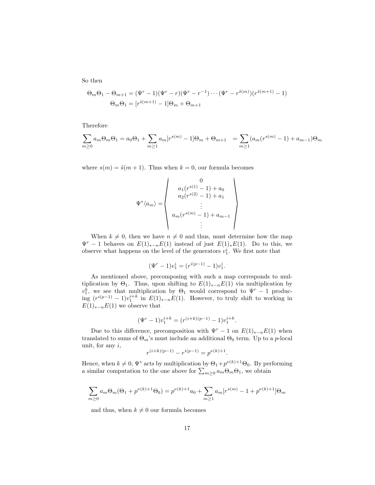So then

$$
\Theta_m \Theta_1 - \Theta_{m+1} = (\Psi^r - 1)(\Psi^r - r)(\Psi^r - r^{-1}) \cdots (\Psi^r - r^{\tilde{s}(m)})(r^{\tilde{s}(m+1)} - 1)
$$

$$
\Theta_m \Theta_1 = [r^{\tilde{s}(m+1)} - 1] \Theta_m + \Theta_{m+1}
$$

Therefore

$$
\sum_{m\geq 0} a_m \Theta_m \Theta_1 = a_0 \Theta_1 + \sum_{m\geq 1} a_m [r^{s(m)} - 1] \Theta_m + \Theta_{m+1} = \sum_{m\geq 1} (a_m (r^{s(m)} - 1) + a_{m-1}) \Theta_m
$$

where  $s(m) = \tilde{s}(m + 1)$ . Thus when  $k = 0$ , our formula becomes

$$
\Psi^* \langle a_m \rangle = \begin{pmatrix} 0 \\ a_1(r^{s(1)} - 1) + a_0 \\ a_2(r^{s(2)} - 1) + a_1 \\ \vdots \\ a_m(r^{s(m)} - 1) + a_{m-1} \\ \vdots \end{pmatrix}
$$

When  $k \neq 0$ , then we have  $n \neq 0$  and thus, must determine how the map  $\Psi^r - 1$  behaves on  $E(1)_{n-r}E(1)$  instead of just  $E(1)_kE(1)$ . Do to this, we observe what happens on the level of the generators  $v_1^i$ . We first note that

$$
(\Psi^r - 1)v_1^i = (r^{i(p-1)} - 1)v_1^i.
$$

As mentioned above, precomposing with such a map corresponds to multiplication by  $\Theta_1$ . Thus, upon shifting to  $E(1)_{*-n}E(1)$  via multiplication by  $v_1^k$ , we see that multiplication by  $\Theta_1$  would correspond to  $\Psi^r - 1$  producing  $(r^{i(p-1)} - 1)v_1^{i+k}$  in  $E(1)_{*-n}E(1)$ . However, to truly shift to working in  $E(1)_{*-n}E(1)$  we observe that

$$
(\Psi^r - 1)v_1^{i+k} = (r^{(i+k)(p-1)} - 1)v_1^{i+k}.
$$

Due to this difference, precomposition with  $\Psi^r - 1$  on  $E(1)_{*-n}E(1)$  when translated to sums of  $\Theta_m$ 's must include an additional  $\Theta_0$  term. Up to a *p*-local unit, for any  $i$ ,

$$
r^{(i+k)(p-1)} - r^{i(p-1)} = p^{\nu(k)+1}
$$

.

Hence, when  $k \neq 0$ ,  $\Psi^*$  acts by multiplication by  $\Theta_1 + p^{\nu(k)+1}\Theta_0$ . By performing a similar computation to the one above for  $\sum_{m\geq 0} a_m \Theta_m \Theta_1$ , we obtain

$$
\sum_{m\geq 0} a_m \Theta_m(\Theta_1 + p^{\nu(k)+1} \Theta_0) = p^{\nu(k)+1} a_0 + \sum_{m\geq 1} a_m [r^{s(m)} - 1 + p^{\nu(k)+1}] \Theta_m
$$

and thus, when  $k \neq 0$  our formula becomes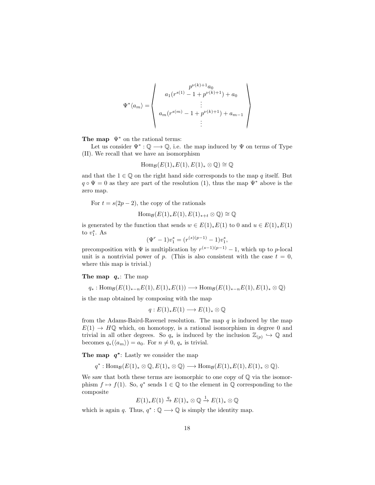$$
\Psi^* \langle a_m \rangle = \begin{pmatrix} p^{\nu(k)+1} a_0 \\ a_1 (r^{s(1)} - 1 + p^{\nu(k)+1}) + a_0 \\ \vdots \\ a_m (r^{s(m)} - 1 + p^{\nu(k)+1}) + a_{m-1} \\ \vdots \end{pmatrix}
$$

The map  $\Psi^*$  on the rational terms:

Let us consider  $\Psi^*: \mathbb{Q} \longrightarrow \mathbb{Q}$ , i.e. the map induced by  $\Psi$  on terms of Type (II). We recall that we have an isomorphism

$$
\operatorname{Hom}_{\mathcal{B}}(E(1)_*E(1), E(1)_*\otimes \mathbb{Q})\cong \mathbb{Q}
$$

and that the  $1 \in \mathbb{Q}$  on the right hand side corresponds to the map q itself. But  $q \circ \Psi = 0$  as they are part of the resolution (1), thus the map  $\Psi^*$  above is the zero map.

For  $t = s(2p - 2)$ , the copy of the rationals

$$
\mathrm{Hom}_{\mathcal{B}}(E(1)_*E(1), E(1)_{*+t}\otimes \mathbb{Q})\cong \mathbb{Q}
$$

is generated by the function that sends  $w \in E(1)_*E(1)$  to 0 and  $u \in E(1)_*E(1)$ to  $v_1^s$ . As

 $(\Psi^r - 1)v_1^s = (r^{(s)(p-1)} - 1)v_1^s,$ 

precomposition with  $\Psi$  is multiplication by  $r^{(s-1)(p-1)} - 1$ , which up to p-local unit is a nontrivial power of p. (This is also consistent with the case  $t = 0$ , where this map is trivial.)

#### The map  $q_*$ : The map

 $q_*: \text{Hom}_{\mathcal{B}}(E(1)_{*-n}E(1), E(1)_*E(1)) \longrightarrow \text{Hom}_{\mathcal{B}}(E(1)_{*-n}E(1), E(1)_* \otimes \mathbb{Q})$ 

is the map obtained by composing with the map

$$
q: E(1)_*E(1) \longrightarrow E(1)_* \otimes \mathbb{Q}
$$

from the Adams-Baird-Ravenel resolution. The map  $q$  is induced by the map  $E(1) \rightarrow H\mathbb{Q}$  which, on homotopy, is a rational isomorphism in degree 0 and trivial in all other degrees. So  $q_*$  is induced by the inclusion  $\mathbb{Z}_{(p)} \hookrightarrow \mathbb{Q}$  and becomes  $q_*(\langle a_m \rangle) = a_0$ . For  $n \neq 0$ ,  $q_*$  is trivial.

The map  $q^*$ : Lastly we consider the map

$$
q^*: \operatorname{Hom}_{\mathcal{B}}(E(1)_* \otimes \mathbb{Q}, E(1)_* \otimes \mathbb{Q}) \longrightarrow \operatorname{Hom}_{\mathcal{B}}(E(1)_*E(1), E(1)_* \otimes \mathbb{Q}).
$$

We saw that both these terms are isomorphic to one copy of  $\mathbb Q$  via the isomorphism  $f \mapsto f(1)$ . So,  $q^*$  sends  $1 \in \mathbb{Q}$  to the element in  $\mathbb Q$  corresponding to the composite

$$
E(1)_*E(1) \stackrel{q}{\to} E(1)_* \otimes \mathbb{Q} \stackrel{1}{\to} E(1)_* \otimes \mathbb{Q}
$$

which is again q. Thus,  $q^* : \mathbb{Q} \longrightarrow \mathbb{Q}$  is simply the identity map.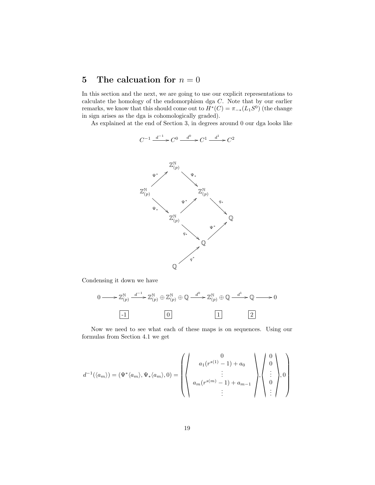## 5 The calcuation for  $n = 0$

In this section and the next, we are going to use our explicit representations to calculate the homology of the endomorphism dga C. Note that by our earlier remarks, we know that this should come out to  $H^*(C) = \pi_{-*}(L_1S^0)$  (the change in sign arises as the dga is cohomologically graded).

As explained at the end of Section 3, in degrees around 0 our dga looks like

$$
C^{-1} \xrightarrow{d^{-1}} C^0 \xrightarrow{d^0} C^1 \xrightarrow{d^1} C^2
$$



Condensing it down we have



Now we need to see what each of these maps is on sequences. Using our formulas from Section 4.1 we get

$$
d^{-1}(\langle a_m \rangle) = (\Psi^* \langle a_m \rangle, \Psi_* \langle a_m \rangle, 0) = \left( \left( \begin{array}{c} 0 \\ a_1(r^{s(1)} - 1) + a_0 \\ \vdots \\ a_m(r^{s(m)} - 1) + a_{m-1} \\ \vdots \end{array} \right) \left\langle \begin{array}{c} 0 \\ 0 \\ \vdots \\ 0 \\ \vdots \end{array} \right\rangle, 0 \right)
$$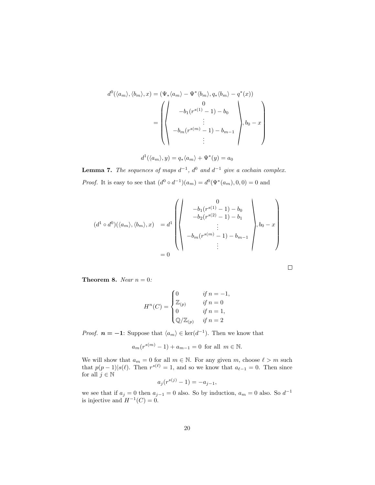$$
d^{0}(\langle a_{m}\rangle,\langle b_{m}\rangle,x) = (\Psi_{*}\langle a_{m}\rangle - \Psi^{*}\langle b_{m}\rangle, q_{*}\langle b_{m}\rangle - q^{*}(x))
$$

$$
= \left(\begin{pmatrix} 0 \\ 0 \\ -b_{1}(r^{s(1)} - 1) - b_{0} \\ \vdots \\ -b_{m}(r^{s(m)} - 1) - b_{m-1} \\ \vdots \end{pmatrix}, b_{0} - x\right)
$$

$$
d^{1}(\langle a_{m} \rangle, y) = q_{*}\langle a_{m} \rangle + \Psi^{*}(y) = a_{0}
$$

**Lemma 7.** The sequences of maps  $d^{-1}$ ,  $d^0$  and  $d^{-1}$  give a cochain complex. *Proof.* It is easy to see that  $(d^0 \circ d^{-1})(a_m) = d^0(\Psi^*(a_m), 0, 0) = 0$  and

$$
(d^{1} \circ d^{0})(\langle a_{m} \rangle, \langle b_{m} \rangle, x) = d^{1} \left( \left\langle \begin{array}{c} 0 \\ -b_{1}(r^{s(1)} - 1) - b_{0} \\ -b_{2}(r^{s(2)} - 1) - b_{1} \\ \vdots \\ -b_{m}(r^{s(m)} - 1) - b_{m-1} \\ \vdots \end{array} \right\rangle, b_{0} - x \right)
$$

$$
= 0
$$

 $\Box$ 

**Theorem 8.** *Near*  $n = 0$ *:* 

$$
H^n(C) = \begin{cases} 0 & \text{if } n = -1, \\ \mathbb{Z}_{(p)} & \text{if } n = 0 \\ 0 & \text{if } n = 1, \\ \mathbb{Q}/\mathbb{Z}_{(p)} & \text{if } n = 2 \end{cases}
$$

*Proof.*  $n = -1$ : Suppose that  $\langle a_m \rangle \in \text{ker}(d^{-1})$ . Then we know that

$$
a_m(r^{s(m)}-1) + a_{m-1} = 0
$$
 for all  $m \in \mathbb{N}$ .

We will show that  $a_m = 0$  for all  $m \in \mathbb{N}$ . For any given m, choose  $\ell > m$  such that  $p(p-1)|s(\ell)$ . Then  $r^{s(\ell)}=1$ , and so we know that  $a_{\ell-1}=0$ . Then since for all  $j \in \mathbb{N}$ 

$$
a_j(r^{s(j)} - 1) = -a_{j-1},
$$

we see that if  $a_j = 0$  then  $a_{j-1} = 0$  also. So by induction,  $a_m = 0$  also. So  $d^{-1}$ is injective and  $H^{-1}(C) = 0$ .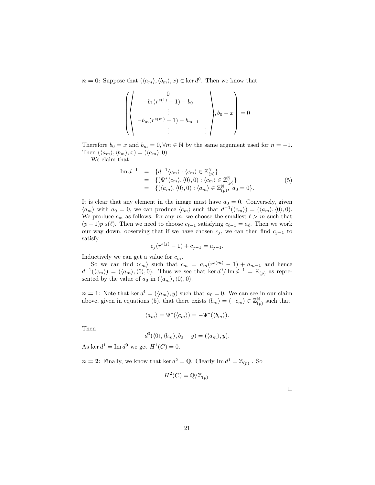$n = 0$ : Suppose that  $(\langle a_m \rangle, \langle b_m \rangle, x) \in \text{ker } d^0$ . Then we know that

$$
\left(\begin{pmatrix} 0 \\ -b_1(r^{s(1)} - 1) - b_0 \\ \vdots \\ -b_m(r^{s(m)} - 1) - b_{m-1} \\ \vdots \end{pmatrix}, b_0 - x \right) = 0
$$

Therefore  $b_0 = x$  and  $b_m = 0, \forall m \in \mathbb{N}$  by the same argument used for  $n = -1$ . Then  $(\langle a_m \rangle, \langle b_m \rangle, x) = (\langle a_m \rangle, 0)$ 

We claim that

$$
\begin{array}{rcl}\n\operatorname{Im} d^{-1} & = & \{d^{-1}\langle c_m \rangle : \langle c_m \rangle \in \mathbb{Z}_{(p)}^{\mathbb{N}}\} \\
& = & \{(\Psi^*\langle c_m \rangle, \langle 0 \rangle, 0) : \langle c_m \rangle \in \mathbb{Z}_{(p)}^{\mathbb{N}}\} \\
& = & \{(\langle a_m \rangle, \langle 0 \rangle, 0) : \langle a_m \rangle \in \mathbb{Z}_{(p)}^{\mathbb{N}}, \ a_0 = 0\}.\n\end{array} \tag{5}
$$

It is clear that any element in the image must have  $a_0 = 0$ . Conversely, given  $\langle a_m \rangle$  with  $a_0 = 0$ , we can produce  $\langle c_m \rangle$  such that  $d^{-1}(\langle c_m \rangle) = (\langle a_m \rangle, \langle 0 \rangle, 0)$ . We produce  $c_m$  as follows: for any m, we choose the smallest  $\ell > m$  such that  $(p-1)p|s(\ell)$ . Then we need to choose  $c_{\ell-1}$  satisfying  $c_{\ell-1} = a_{\ell}$ . Then we work our way down, observing that if we have chosen  $c_j$ , we can then find  $c_{j-1}$  to satisfy

$$
c_j(r^{s(j)} - 1) + c_{j-1} = a_{j-1}.
$$

Inductively we can get a value for  $c_m$ .

So we can find  $\langle c_m \rangle$  such that  $c_m = a_m(r^{s(m)} - 1) + a_{m-1}$  and hence  $d^{-1}(\langle c_m \rangle) = (\langle a_m \rangle, \langle 0 \rangle, 0)$ . Thus we see that ker  $d^0/\text{Im } d^{-1} = \mathbb{Z}_{(p)}$  as represented by the value of  $a_0$  in  $(\langle a_m \rangle, \langle 0 \rangle, 0)$ .

 $n = 1$ : Note that ker  $d^1 = (\langle a_m \rangle, y)$  such that  $a_0 = 0$ . We can see in our claim above, given in equations (5), that there exists  $\langle b_m \rangle = \langle -c_m \rangle \in \mathbb{Z}_{tr}^{\mathbb{N}}$  $\binom{\mathbb{N}}{p}$  such that

$$
\langle a_m \rangle = \Psi^*(\langle c_m \rangle) = -\Psi^*(\langle b_m \rangle).
$$

Then

$$
d^{0}(\langle 0 \rangle, \langle b_{m} \rangle, b_{0} - y) = (\langle a_{m} \rangle, y).
$$

As ker  $d^1 = \text{Im } d^0$  we get  $H^1(C) = 0$ .

 $n=2$ : Finally, we know that ker  $d^2 = \mathbb{Q}$ . Clearly Im  $d^1 = \mathbb{Z}_{(p)}$ . So

$$
H^2(C) = \mathbb{Q}/\mathbb{Z}_{(p)}.
$$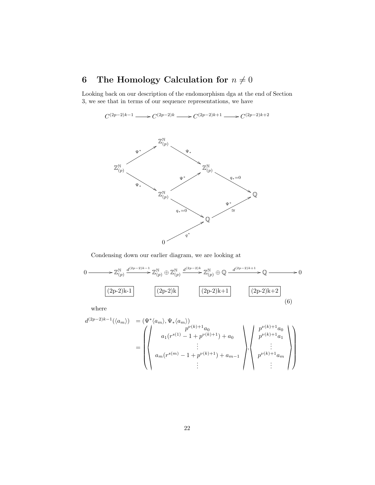# 6 The Homology Calculation for  $n \neq 0$

Looking back on our description of the endomorphism dga at the end of Section 3, we see that in terms of our sequence representations, we have

 $C^{(2p-2)k-1} \longrightarrow C^{(2p-2)k} \longrightarrow C^{(2p-2)k+1} \longrightarrow C^{(2p-2)k+2}$ 



Condensing down our earlier diagram, we are looking at

$$
0 \longrightarrow \mathbb{Z}_{(p)}^{\mathbb{N}} \xrightarrow{d^{(2p-2)k-1}} \mathbb{Z}_{(p)}^{\mathbb{N}} \oplus \mathbb{Z}_{(p)}^{\mathbb{N}} \xrightarrow{d^{(2p-2)k}} \mathbb{Z}_{(p)}^{\mathbb{N}} \oplus \mathbb{Q} \xrightarrow{d^{(2p-2)k+1}} \mathbb{Q} \longrightarrow 0
$$
  

$$
(2p-2)k-1 \qquad (2p-2)k \qquad (2p-2)k+1 \qquad (2p-2)k+2 \qquad (6)
$$

$$
d^{(2p-2)k-1}(\langle a_m \rangle) = (\Psi^* \langle a_m \rangle, \Psi_* \langle a_m \rangle)
$$
  
= 
$$
\begin{pmatrix} p^{\nu(k)+1}a_0 \\ a_1(r^{s(1)} - 1 + p^{\nu(k)+1}) + a_0 \\ \vdots \\ a_m(r^{s(m)} - 1 + p^{\nu(k)+1}) + a_{m-1} \end{pmatrix}, \begin{pmatrix} p^{\nu(k)+1}a_0 \\ p^{\nu(k)+1}a_1 \\ \vdots \\ p^{\nu(k)+1}a_m \end{pmatrix}
$$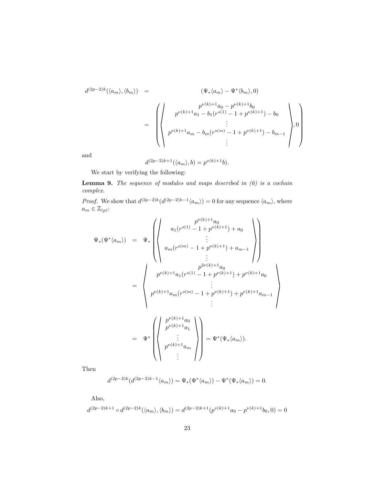$$
d^{(2p-2)k}(\langle a_{m}\rangle,\langle b_{m}\rangle) = \left(\psi_{*}\langle a_{m}\rangle - \Psi^{*}\langle b_{m}\rangle,0\right)
$$
  

$$
= \left(\begin{pmatrix} p^{\nu(k)+1}a_{0} - p^{\nu(k)+1}b_{0} \\ p^{\nu(k)+1}a_{1} - b_{1}(r^{s(1)} - 1 + p^{\nu(k)+1}) - b_{0} \\ \vdots \\ p^{\nu(k)+1}a_{m} - b_{m}(r^{s(m)} - 1 + p^{\nu(k)+1}) - b_{m-1} \\ \vdots \end{pmatrix},0\right)
$$

and

$$
d^{(2p-2)k+1}(\langle a_m \rangle, b) = p^{\nu(k)+1}b).
$$

We start by verifying the following:

Lemma 9. *The sequence of modules and maps described in (6) is a cochain complex.*

*Proof.* We show that  $d^{(2p-2)k}(d^{(2p-2)k-1}\langle a_m \rangle) = 0$  for any sequence  $\langle a_m \rangle$ , where  $a_m \in \mathbb{Z}_{(p)}$ :

$$
\Psi_{*}(\Psi^{*}\langle a_{m}\rangle) = \Psi_{*}\left(\begin{pmatrix} p^{\nu(k)+1}a_{0} \\ \vdots \\ a_{m}(r^{s(1)}-1+p^{\nu(k)+1})+a_{0} \\ \vdots \\ a_{m}(r^{s(m)}-1+p^{\nu(k)+1})+a_{m-1} \\ \vdots \\ p^{\nu(k)+1}a_{1}(r^{s(1)}-1+p^{\nu(k)+1})+p^{\nu(k)+1}a_{0} \\ \vdots \\ p^{\nu(k)+1}a_{m}(r^{s(m)}-1+p^{\nu(k)+1})+p^{\nu(k)+1}a_{m-1} \\ \vdots \\ p^{\nu(k)+1}a_{1} \\ \vdots \\ p^{\nu(k)+1}a_{1} \\ \vdots \end{pmatrix}\right)
$$

Then

$$
d^{(2p-2)k}(d^{(2p-2)k-1}\langle a_m \rangle) = \Psi_*(\Psi^*\langle a_m \rangle) - \Psi^*(\Psi_*(a_m) \rangle = 0.
$$

Also,

 $d^{(2p-2)k+1} \circ d^{(2p-2)k}(\langle a_m \rangle, \langle b_m \rangle) = d^{(2p-2)k+1}(p^{\nu(k)+1}a_0 - p^{\nu(k)+1}b_0, 0) = 0$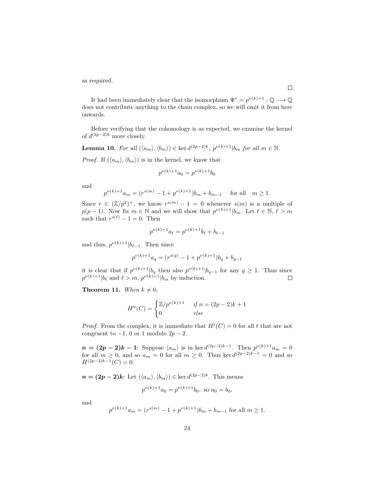as required.

It had been immediately clear that the isomorphism  $\Psi^* = p^{\nu(k)+1} : \mathbb{Q} \longrightarrow \mathbb{Q}$ does not contribute anything to the chain complex, so we will omit it from here onwards.

Before verifying that the cohomology is as expected, we examine the kernel of  $d^{(2p-2)k}$  more closely.

**Lemma 10.** *For all*  $(\langle a_m \rangle, \langle b_m \rangle) \in \ker d^{(2p-2)k}$ ,  $p^{\nu(k)+1}|b_m$  *for all*  $m \in \mathbb{N}$ *.* 

*Proof.* If  $(\langle a_m \rangle, \langle b_m \rangle)$  is in the kernel, we know that

$$
p^{\nu(k)+1}a_0 = p^{\nu(k)+1}b_0
$$

and

$$
p^{\nu(k)+1}a_m = (r^{s(m)} - 1 + p^{\nu(k)+1})b_m + b_{m-1} \quad \text{for all} \quad m \ge 1.
$$

Since  $r \in (\mathbb{Z}/p^2)^{\times}$ , we know  $r^{s(m)} - 1 = 0$  whenever  $s(m)$  is a multiple of  $p(p-1)$ . Now fix  $m \in \mathbb{N}$  and we will show that  $p^{\nu(k)+1}|b_m$ . Let  $\ell \in \mathbb{N}, \ell > m$ such that  $r^{s(\ell)} - 1 = 0$ . Then

$$
p^{\nu(k)+1}a_{\ell} = p^{\nu(k)+1}b_{\ell} + b_{\ell-1}
$$

and thus,  $p^{\nu(k)+1}|b_{\ell-1}$ . Then since

$$
p^{\nu(k)+1}a_q = (r^{s(q)} - 1 + p^{\nu(k)+1})b_q + b_{q-1}
$$

it is clear that if  $p^{\nu(k)+1}|b_q$  then also  $p^{\nu(k)+1}|b_{q-1}$  for any  $q \ge 1$ . Thus since  $p^{\nu(k)+1}|b_{\ell}$  and  $\ell > m$ ,  $p^{\nu(k)+1}|b_m$  by induction.

**Theorem 11.** When  $k \neq 0$ ,

$$
H^n(C) = \begin{cases} \mathbb{Z}/p^{\nu(k)+1} & \text{if } n = (2p-2)k+1\\ 0 & \text{else} \end{cases}
$$

*Proof.* From the complex, it is immediate that  $H^t(C) = 0$  for all t that are not congruent to  $-1$ , 0 or 1 modulo  $2p-2$ .

 $n = (2p-2)k-1$ : Suppose  $\langle a_m \rangle$  is in ker  $d^{(2p-2)k-1}$ . Then  $p^{\nu(k)+1}a_m = 0$ for all  $m \geq 0$ , and so  $a_m = 0$  for all  $m \geq 0$ . Thus ker  $d^{(2p-2)k-1} = 0$  and so  $H^{(2p-2)k-1}(C) = 0.$ 

 $n = (2p-2)k$ : Let  $(\langle a_m \rangle, \langle b_m \rangle) \in \text{ker } d^{(2p-2)k}$ . This means

$$
p^{\nu(k)+1}a_0 = p^{\nu(k)+1}b_0, \text{ so } a_0 = b_0,
$$

and

$$
p^{\nu(k)+1}a_m = (r^{s(m)} - 1 + p^{\nu(k)+1})b_m + b_{m-1} \text{ for all } m \ge 1.
$$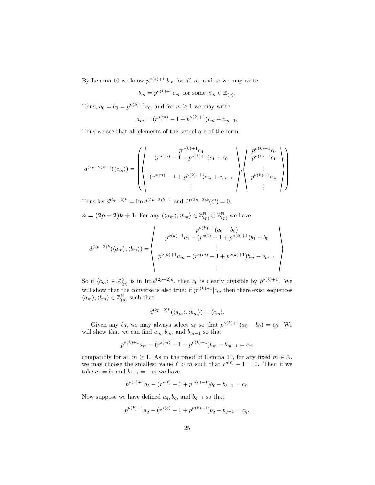By Lemma 10 we know  $p^{\nu(k)+1}|b_m$  for all m, and so we may write

$$
b_m = p^{\nu(k)+1}c_m
$$
 for some  $c_m \in \mathbb{Z}_{(p)}$ .

Thus,  $a_0 = b_0 = p^{\nu(k)+1}c_0$ , and for  $m \ge 1$  we may write

$$
a_m = (r^{s(m)} - 1 + p^{\nu(k)+1})c_m + c_{m-1}.
$$

Thus we see that all elements of the kernel are of the form

$$
d^{(2p-2)k-1}(\langle c_m \rangle) = \left( \left( \begin{array}{c} p^{\nu(k)+1}c_0 \\ (r^{s(m)} - 1 + p^{\nu(k)+1})c_1 + c_0 \\ \vdots \\ (r^{s(m)} - 1 + p^{\nu(k)+1})c_m + c_{m-1} \end{array} \right) \left\langle \begin{array}{c} p^{\nu(k)+1}c_0 \\ p^{\nu(k)+1}c_1 \\ \vdots \\ p^{\nu(k)+1}c_m \end{array} \right) \right)
$$

Thus ker  $d^{(2p-2)k} = \text{Im } d^{(2p-2)k-1}$  and  $H^{(2p-2)k}(C) = 0$ .

 $n = (2p-2)k+1$ : For any  $(\langle a_m \rangle, \langle b_m \rangle \in \mathbb{Z}_{(p)}^{\mathbb{N}} \oplus \mathbb{Z}_{(p)}^{\mathbb{N}}$  we have

$$
d^{(2p-2)k}(\langle a_m \rangle, \langle b_m \rangle) = \begin{pmatrix} p^{\nu(k)+1}(a_0 - b_0) \\ p^{\nu(k)+1}a_1 - (r^{s(1)} - 1 + p^{\nu(k)+1})b_1 - b_0 \\ \vdots \\ p^{\nu(k)+1}a_m - (r^{s(m)} - 1 + p^{\nu(k)+1})b_m - b_{m-1} \\ \vdots \end{pmatrix}.
$$

So if  $\langle c_m \rangle \in \mathbb{Z}_{(n)}^{\mathbb{N}}$ <sup>N</sup><sub>(p)</sub> is in Im  $d^{(2p-2)k}$ , then c<sub>0</sub> is clearly divisible by  $p^{\nu(k)+1}$ . We will show that the converse is also true: if  $p^{\nu(k)+1}|c_0$ , then there exist sequences  $\langle a_m \rangle, \langle b_m \rangle \in \mathbb{Z}_{(n)}^{\mathbb{N}}$  $\binom{\mathbb{N}}{p}$  such that

$$
d^{(2p-2)k}(\langle a_m \rangle, \langle b_m \rangle) = \langle c_m \rangle.
$$

Given any  $b_0$ , we may always select  $a_0$  so that  $p^{\nu(k)+1}(a_0 - b_0) = c_0$ . We will show that we can find  $a_m, b_m$ , and  $b_{m-1}$  so that

$$
p^{\nu(k)+1}a_m - (r^{s(m)} - 1 + p^{\nu(k)+1})b_m - b_{m-1} = c_m
$$

compatibly for all  $m \ge 1$ . As in the proof of Lemma 10, for any fixed  $m \in \mathbb{N}$ , we may choose the smallest value  $\ell > m$  such that  $r^{s(\ell)} - 1 = 0$ . Then if we take  $a_{\ell} = b_{\ell}$  and  $b_{\ell-1} = -c_{\ell}$  we have

$$
p^{\nu(k)+1}a_{\ell} - (r^{s(\ell)} - 1 + p^{\nu(k)+1})b_{\ell} - b_{\ell-1} = c_{\ell}.
$$

Now suppose we have defined  $a_q, b_q$ , and  $b_{q-1}$  so that

$$
p^{\nu(k)+1}a_q - (r^{s(q)} - 1 + p^{\nu(k)+1})b_q - b_{q-1} = c_q.
$$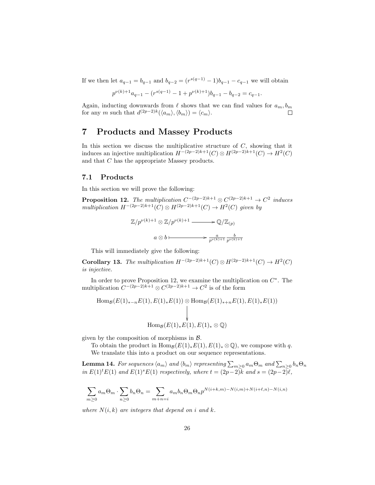If we then let  $a_{q-1} = b_{q-1}$  and  $b_{q-2} = (r^{s(q-1)} - 1)b_{q-1} - c_{q-1}$  we will obtain

$$
p^{\nu(k)+1}a_{q-1} - (r^{s(q-1)} - 1 + p^{\nu(k)+1})b_{q-1} - b_{q-2} = c_{q-1}.
$$

Again, inducting downwards from  $\ell$  shows that we can find values for  $a_m, b_m$ for any m such that  $d^{(2p-2)k}(\langle a_m \rangle, \langle b_m \rangle) = \langle c_m \rangle$ .

## 7 Products and Massey Products

In this section we discuss the multiplicative structure of  $C$ , showing that it induces an injective multiplication  $H^{-(2p-2)k+1}(C) \otimes H^{(2p-2)k+1}(C) \to H^2(C)$ and that C has the appropriate Massey products.

#### 7.1 Products

In this section we will prove the following:

**Proposition 12.** The multiplication  $C^{-(2p-2)k+1} \otimes C^{(2p-2)k+1} \to C^2$  induces  $multiplication H^{-(2p-2)k+1}(C) \otimes H^{(2p-2)k+1}(C) \rightarrow H^{2}(C)$  given by

$$
\mathbb{Z}/p^{\nu(k)+1} \otimes \mathbb{Z}/p^{\nu(k)+1} \longrightarrow \mathbb{Q}/\mathbb{Z}_{(p)}
$$

$$
a \otimes b \longmapsto \frac{a}{p^{\nu(k)+1}} \frac{b}{p^{\nu(k)+1}}
$$

This will immediately give the following:

Corollary 13. *The multiplication*  $H^{-(2p-2)k+1}(C) \otimes H^{(2p-2)k+1}(C) \to H^2(C)$ *is injective.*

In order to prove Proposition 12, we examine the multiplication on  $C^*$ . The multiplication  $C^{-(2p-2)k+1} \otimes C^{(2p-2)k+1} \to C^2$  is of the form

Hom<sub>B</sub>(E(1)<sub>\*-n</sub>E(1), E(1)<sub>\*</sub>E(1)) 
$$
\otimes
$$
 Hom<sub>B</sub>(E(1)<sub>\*+n</sub>E(1), E(1)<sub>\*</sub>E(1))  
\n
$$
\downarrow
$$
\nHom<sub>B</sub>(E(1)<sub>\*</sub>E(1), E(1)<sub>\*</sub>  $\otimes$  Q)

given by the composition of morphisms in  $\beta$ .

To obtain the product in  $\text{Hom}_{\mathcal{B}}(E(1)_*E(1), E(1)_*\otimes \mathbb{Q})$ , we compose with q. We translate this into a product on our sequence representations.

 ${\bf Lemma \ 14.}$  *For sequences*  $\langle a_m\rangle$  and  $\langle b_m\rangle$  representing  $\sum_{m\geq 0}a_m\Theta_m$  and  $\sum_{n\geq 0}b_n\Theta_n$ *in*  $E(1)^{t}E(1)$  *and*  $E(1)^{s}E(1)$  *respectively, where*  $t = (2p-2)k$  *and*  $s = (2p-2)k$ ,

$$
\sum_{m\geq 0} a_m \Theta_m \cdot \sum_{n\geq 0} b_n \Theta_n = \sum_{m+n=i} a_m b_n \Theta_m \Theta_n p^{N(i+k,m)-N(i,m)+N(i+\ell,n)-N(i,n)}
$$

*where*  $N(i,k)$  *are integers that depend on i and* k.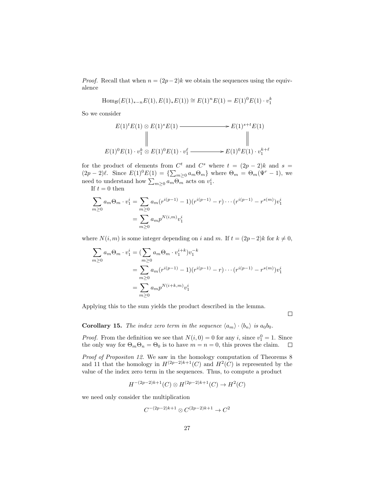*Proof.* Recall that when  $n = (2p-2)k$  we obtain the sequences using the equivalence

Hom<sub>B</sub>
$$
(E(1)_{*-n}E(1), E(1)_{*}E(1)) \cong E(1)^{n}E(1) = E(1)^{0}E(1) \cdot v_1^{k}
$$

So we consider

$$
E(1)^{t}E(1) \otimes E(1)^{s}E(1) \longrightarrow E(1)^{s+t}E(1)
$$
  
\n
$$
\parallel \qquad \qquad \parallel
$$
  
\n
$$
E(1)^{0}E(1) \cdot v_{1}^{k} \otimes E(1)^{0}E(1) \cdot v_{1}^{\ell} \longrightarrow E(1)^{0}E(1) \cdot v_{1}^{k+\ell}
$$

for the product of elements from  $C^t$  and  $C^s$  where  $t = (2p - 2)k$  and  $s =$  $(2p-2)\ell$ . Since  $E(1)^0E(1) = {\sum_{m\geq 0} a_m \Theta_m}$  where  $\Theta_m = \Theta_m(\Psi^r - 1)$ , we need to understand how  $\sum_{m\geq 0} a_m \Theta_m$  acts on  $v_1^i$ .

If  $t = 0$  then

$$
\sum_{m\geq 0} a_m \Theta_m \cdot v_1^i = \sum_{m\geq 0} a_m (r^{i(p-1)} - 1)(r^{i(p-1)} - r) \cdots (r^{i(p-1)} - r^{s(m)})v_1^i
$$

$$
= \sum_{m\geq 0} a_m p^{N(i,m)} v_1^i
$$

where  $N(i, m)$  is some integer depending on i and m. If  $t = (2p-2)k$  for  $k \neq 0$ ,

$$
\sum_{m\geq 0} a_m \Theta_m \cdot v_1^i = \left( \sum_{m\geq 0} a_m \Theta_m \cdot v_1^{i+k} \right) v_1^{-k}
$$
  
= 
$$
\sum_{m\geq 0} a_m (r^{i(p-1)} - 1) (r^{i(p-1)} - r) \cdots (r^{i(p-1)} - r^{s(m)}) v_1^i
$$
  
= 
$$
\sum_{m\geq 0} a_m p^{N(i+k,m)} v_1^i
$$

Applying this to the sum yields the product described in the lemma.

 $\Box$ 

#### **Corollary 15.** *The index zero term in the sequence*  $\langle a_m \rangle \cdot \langle b_n \rangle$  *is*  $a_0b_0$ *.*

*Proof.* From the definition we see that  $N(i, 0) = 0$  for any i, since  $v_1^0 = 1$ . Since the only way for  $\Theta_m \Theta_n = \Theta_0$  is to have  $m = n = 0$ , this proves the claim.

*Proof of Propositon 12.* We saw in the homology computation of Theorems 8 and 11 that the homology in  $H^{(2p-2)k+1}(C)$  and  $H^{2}(C)$  is represented by the value of the index zero term in the sequences. Thus, to compute a product

$$
H^{-(2p-2)k+1}(C) \otimes H^{(2p-2)k+1}(C) \to H^2(C)
$$

we need only consider the multiplication

$$
C^{-(2p-2)k+1} \otimes C^{(2p-2)k+1} \to C^2
$$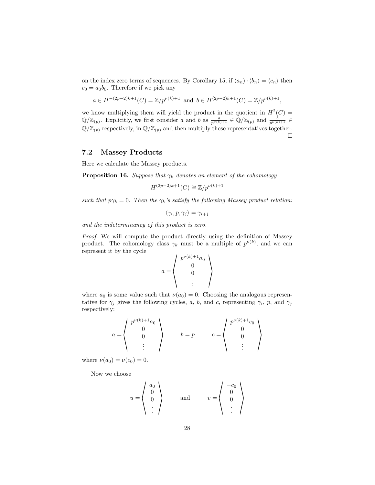on the index zero terms of sequences. By Corollary 15, if  $\langle a_n \rangle \cdot \langle b_n \rangle = \langle c_n \rangle$  then  $c_0 = a_0b_0$ . Therefore if we pick any

$$
a \in H^{-(2p-2)k+1}(C) = \mathbb{Z}/p^{\nu(k)+1}
$$
 and  $b \in H^{(2p-2)k+1}(C) = \mathbb{Z}/p^{\nu(k)+1}$ ,

we know multiplying them will yield the product in the quotient in  $H^2(C)$  =  $\mathbb{Q}/\mathbb{Z}_{(p)}$ . Explicitly, we first consider a and b as  $\frac{a}{p^{\nu(k)+1}} \in \mathbb{Q}/\mathbb{Z}_{(p)}$  and  $\frac{b}{p^{\nu(k)+1}} \in$  $\mathbb{Q}/\mathbb{Z}_{(p)}$  respectively, in  $\mathbb{Q}/\mathbb{Z}_{(p)}$  and then multiply these representatives together.  $\Box$ 

#### 7.2 Massey Products

Here we calculate the Massey products.

**Proposition 16.** *Suppose that*  $\gamma_k$  *denotes an element of the cohomology* 

$$
H^{(2p-2)k+1}(C) \cong \mathbb{Z}/p^{\nu(k)+1}
$$

*such that*  $p\gamma_k = 0$ . Then the  $\gamma_k$ 's satisfy the following Massey product relation:

$$
\langle \gamma_i, p, \gamma_j \rangle = \gamma_{i+j}
$$

*and the indeterminancy of this product is zero.*

*Proof.* We will compute the product directly using the definition of Massey product. The cohomology class  $\gamma_k$  must be a multiple of  $p^{\nu(k)}$ , and we can represent it by the cycle

$$
a = \left\langle \begin{array}{c} p^{\nu(k)+1}a_0 \\ 0 \\ 0 \\ \vdots \end{array} \right\rangle
$$

where  $a_0$  is some value such that  $\nu(a_0) = 0$ . Choosing the analogous representative for  $\gamma_j$  gives the following cycles, a, b, and c, representing  $\gamma_i$ , p, and  $\gamma_j$ respectively:

$$
a = \begin{pmatrix} p^{\nu(k)+1}a_0 \\ 0 \\ 0 \\ \vdots \end{pmatrix} \qquad b = p \qquad c = \begin{pmatrix} p^{\nu(k)+1}c_0 \\ 0 \\ 0 \\ \vdots \end{pmatrix}
$$

where  $\nu(a_0) = \nu(c_0) = 0$ .

Now we choose

$$
u = \left\langle \begin{array}{c} a_0 \\ 0 \\ 0 \\ \vdots \end{array} \right\rangle \quad \text{and} \quad v = \left\langle \begin{array}{c} -c_0 \\ 0 \\ 0 \\ \vdots \end{array} \right\rangle
$$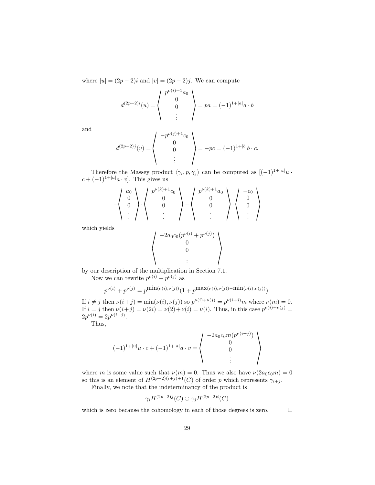where  $|u| = (2p - 2)i$  and  $|v| = (2p - 2)j$ . We can compute

$$
d^{(2p-2)i}(u) = \begin{pmatrix} p^{\nu(i)+1}a_0 \\ 0 \\ 0 \end{pmatrix} = pa = (-1)^{1+|a|}a \cdot b
$$

and

$$
d^{(2p-2)j}(v) = \begin{pmatrix} -p^{\nu(j)+1}c_0 \\ 0 \\ 0 \end{pmatrix} = -pc = (-1)^{1+|b|}b \cdot c.
$$

Therefore the Massey product  $\langle \gamma_i, p, \gamma_j \rangle$  can be computed as  $[(-1)^{1+|u|}u \cdot$  $c + (-1)^{1+|a|}a \cdot v$ . This gives us

$$
-\left\langle \begin{array}{c} a_0 \\ 0 \\ 0 \\ \vdots \end{array} \right\rangle \cdot \left\langle \begin{array}{c} p^{\nu(k)+1}c_0 \\ 0 \\ 0 \\ \vdots \end{array} \right\rangle + \left\langle \begin{array}{c} p^{\nu(k)+1}a_0 \\ 0 \\ 0 \\ \vdots \end{array} \right\rangle \cdot \left\langle \begin{array}{c} -c_0 \\ 0 \\ 0 \\ \vdots \end{array} \right\rangle
$$

which yields

$$
\begin{pmatrix}\n-2a_0c_0(p^{\nu(i)} + p^{\nu(j)}) \\
0 \\
0 \\
\vdots\n\end{pmatrix}
$$

by our description of the multiplication in Section 7.1.

Now we can rewrite  $p^{\nu(i)} + p^{\nu(j)}$  as

$$
p^{\nu(i)} + p^{\nu(j)} = p^{\min(\nu(i),\nu(j))} (1 + p^{\max(\nu(i),\nu(j)) - \min(\nu(i),\nu(j))}).
$$

If  $i \neq j$  then  $\nu(i+j) = \min(\nu(i), \nu(j))$  so  $p^{\nu(i)+\nu(j)} = p^{\nu(i+j)}m$  where  $\nu(m) = 0$ . If  $i = j$  then  $\nu(i+j) = \nu(2i) = \nu(2) + \nu(i) = \nu(i)$ . Thus, in this case  $p^{\nu(i)+\nu(j)} =$  $2p^{\nu(i)} = 2p^{\nu(i+j)}$ .

Thus,

$$
(-1)^{1+|u|}u \cdot c + (-1)^{1+|a|}a \cdot v = \begin{pmatrix} -2a_0c_0m(p^{\nu(i+j)}) \\ 0 \\ 0 \\ \vdots \end{pmatrix}
$$

where m is some value such that  $\nu(m) = 0$ . Thus we also have  $\nu(2a_0c_0m) = 0$ so this is an element of  $H^{(2p-2)(i+j)+1}(C)$  of order p which represents  $\gamma_{i+j}$ .

Finally, we note that the indeterminancy of the product is

$$
\gamma_iH^{(2p-2)j}(C)\oplus \gamma_jH^{(2p-2)i}(C)
$$

which is zero because the cohomology in each of those degrees is zero.  $\Box$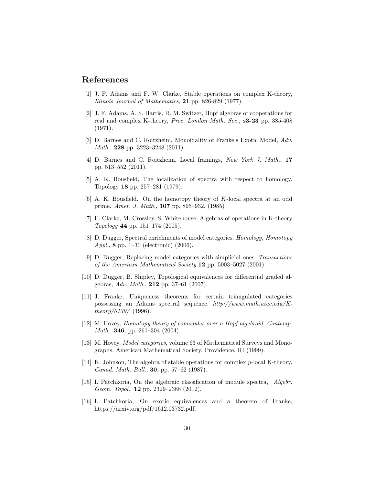### References

- [1] J. F. Adams and F. W. Clarke, Stable operations on complex K-theory, *Illinois Journal of Mathematics*, 21 pp. 826-829 (1977).
- [2] J. F. Adams, A. S. Harris, R. M. Switzer, Hopf algebras of cooperations for real and complex K-theory, *Proc. London Math. Soc.*, s3-23 pp. 385-408 (1971).
- [3] D. Barnes and C. Roitzheim, Monoidality of Franke's Exotic Model, *Adv. Math.*, 228 pp. 3223–3248 (2011).
- [4] D. Barnes and C. Roitzheim, Local framings, *New York J. Math.*, 17 pp. 513–552 (2011).
- [5] A. K. Bousfield, The localization of spectra with respect to homology. Topology 18 pp. 257–281 (1979).
- [6] A. K. Bousfield. On the homotopy theory of K-local spectra at an odd prime. *Amer. J. Math.*, 107 pp. 895–932, (1985)
- [7] F. Clarke, M. Crossley, S. Whitehouse, Algebras of operations in K-theory *Topology* 44 pp. 151–174 (2005).
- [8] D. Dugger, Spectral enrichments of model categories. *Homology, Homotopy Appl.*, 8 pp. 1–30 (electronic) (2006).
- [9] D. Dugger, Replacing model categories with simplicial ones. *Transactions of the American Mathematical Society* 12 pp. 5003–5027 (2001).
- [10] D. Dugger, B. Shipley, Topological equivalences for differential graded algebras, *Adv. Math.*, 212 pp. 37–61 (2007).
- [11] J. Franke, Uniqueness theorems for certain triangulated categories possessing an Adams spectral sequence. *http://www.math.uiuc.edu/Ktheory/0139/* (1996).
- [12] M. Hovey, *Homotopy theory of comodules over a Hopf algebroid*, *Contemp. Math.*, **346**, pp. 261–304 (2004).
- [13] M. Hovey, *Model categories*, volume 63 of Mathematical Surveys and Monographs. American Mathematical Society, Providence, RI (1999).
- [14] K. Johnson, The algebra of stable operations for complex p-local K-theory, *Canad. Math. Bull.*, 30, pp. 57–62 (1987).
- [15] I. Patchkoria, On the algebraic classification of module spectra, *Algebr. Geom. Topol.*, 12 pp. 2329–2388 (2012).
- [16] I. Patchkoria, On exotic equivalences and a theorem of Franke, https://arxiv.org/pdf/1612.03732.pdf.